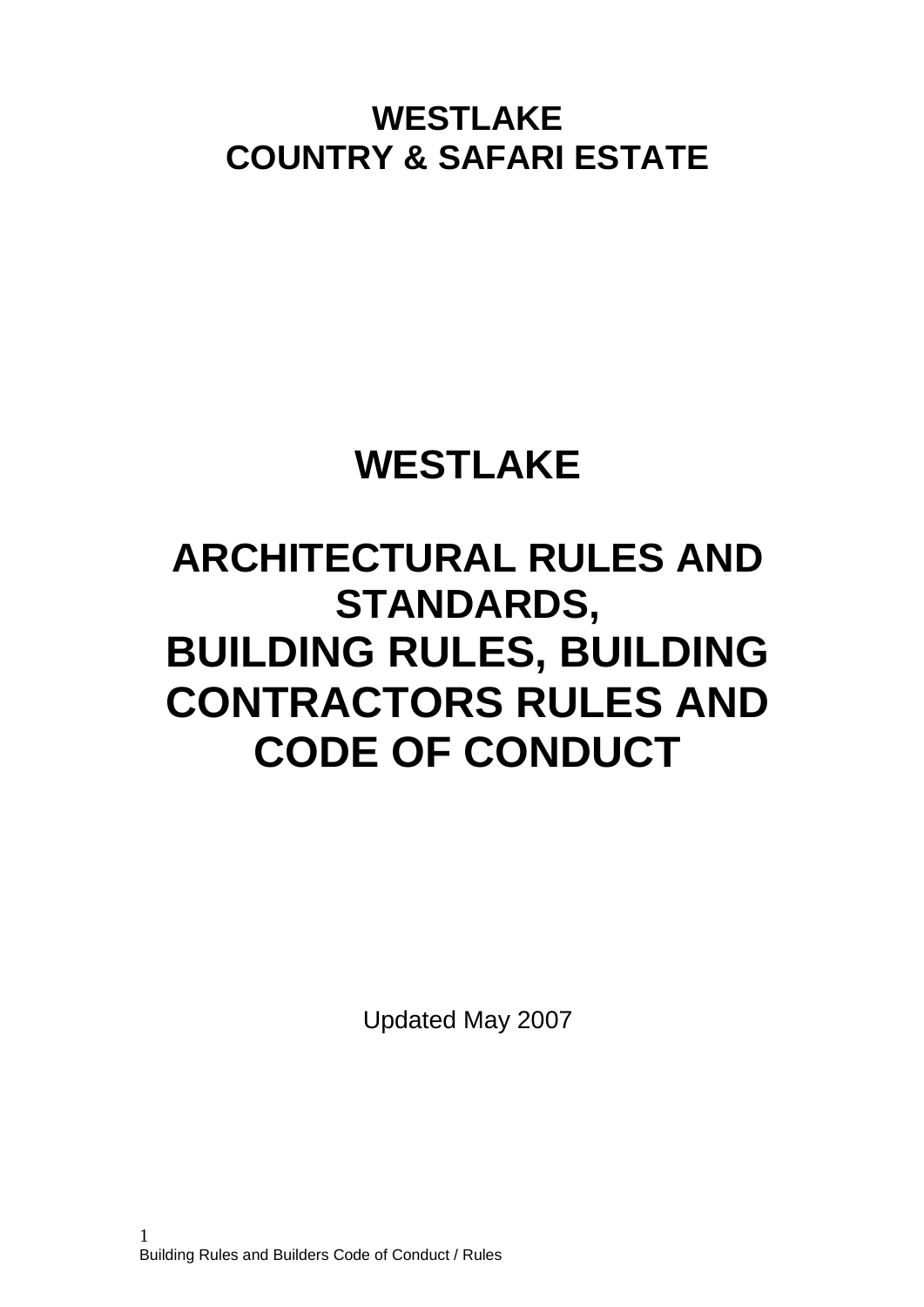**WESTLAKE COUNTRY & SAFARI ESTATE**

# **WESTLAKE**

# **ARCHITECTURAL RULES AND STANDARDS, BUILDING RULES, BUILDING CONTRACTORS RULES AND CODE OF CONDUCT**

Updated May 2007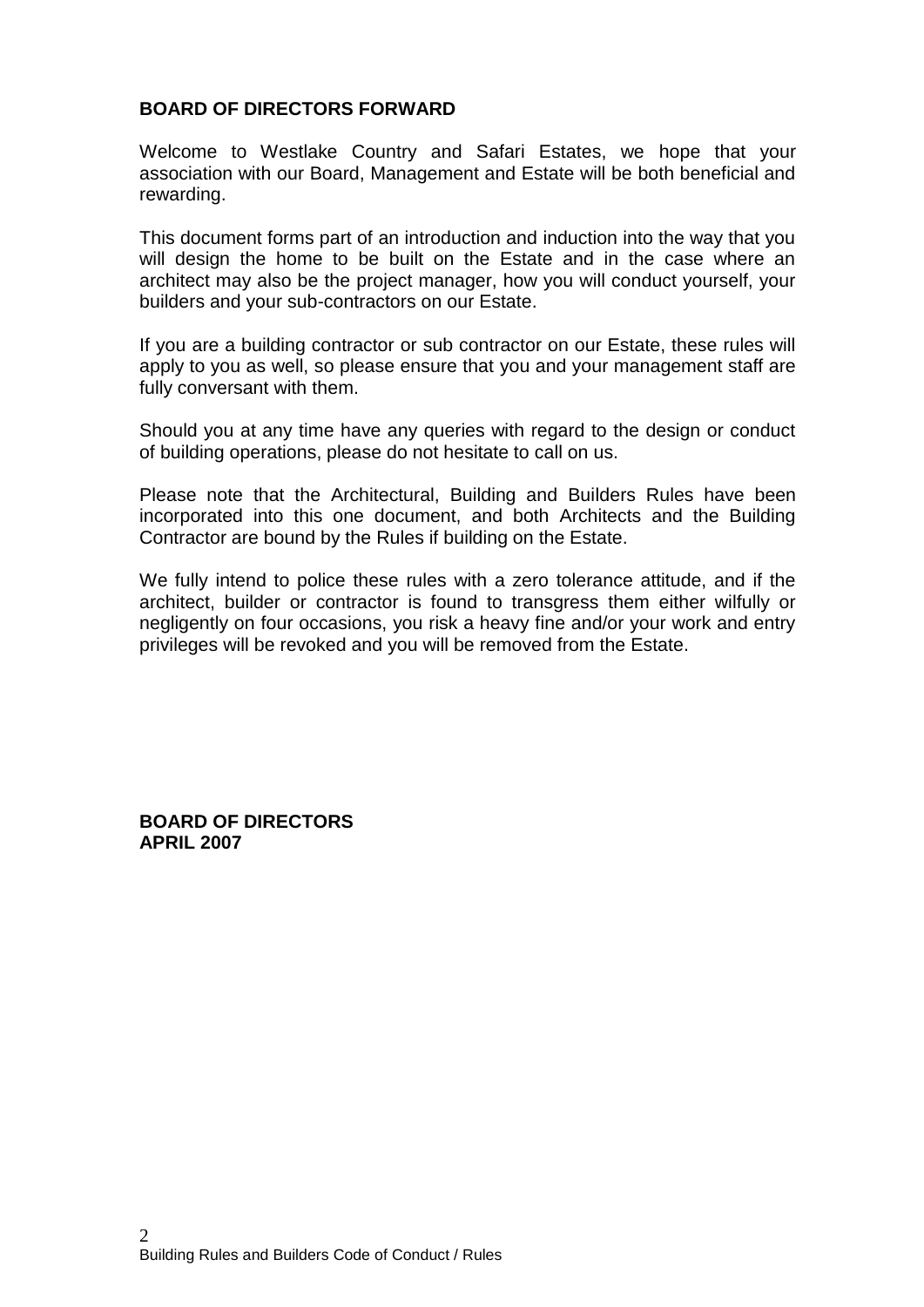## **BOARD OF DIRECTORS FORWARD**

Welcome to Westlake Country and Safari Estates, we hope that your association with our Board, Management and Estate will be both beneficial and rewarding.

This document forms part of an introduction and induction into the way that you will design the home to be built on the Estate and in the case where an architect may also be the project manager, how you will conduct yourself, your builders and your sub-contractors on our Estate.

If you are a building contractor or sub contractor on our Estate, these rules will apply to you as well, so please ensure that you and your management staff are fully conversant with them.

Should you at any time have any queries with regard to the design or conduct of building operations, please do not hesitate to call on us.

Please note that the Architectural, Building and Builders Rules have been incorporated into this one document, and both Architects and the Building Contractor are bound by the Rules if building on the Estate.

We fully intend to police these rules with a zero tolerance attitude, and if the architect, builder or contractor is found to transgress them either wilfully or negligently on four occasions, you risk a heavy fine and/or your work and entry privileges will be revoked and you will be removed from the Estate.

**BOARD OF DIRECTORS APRIL 2007**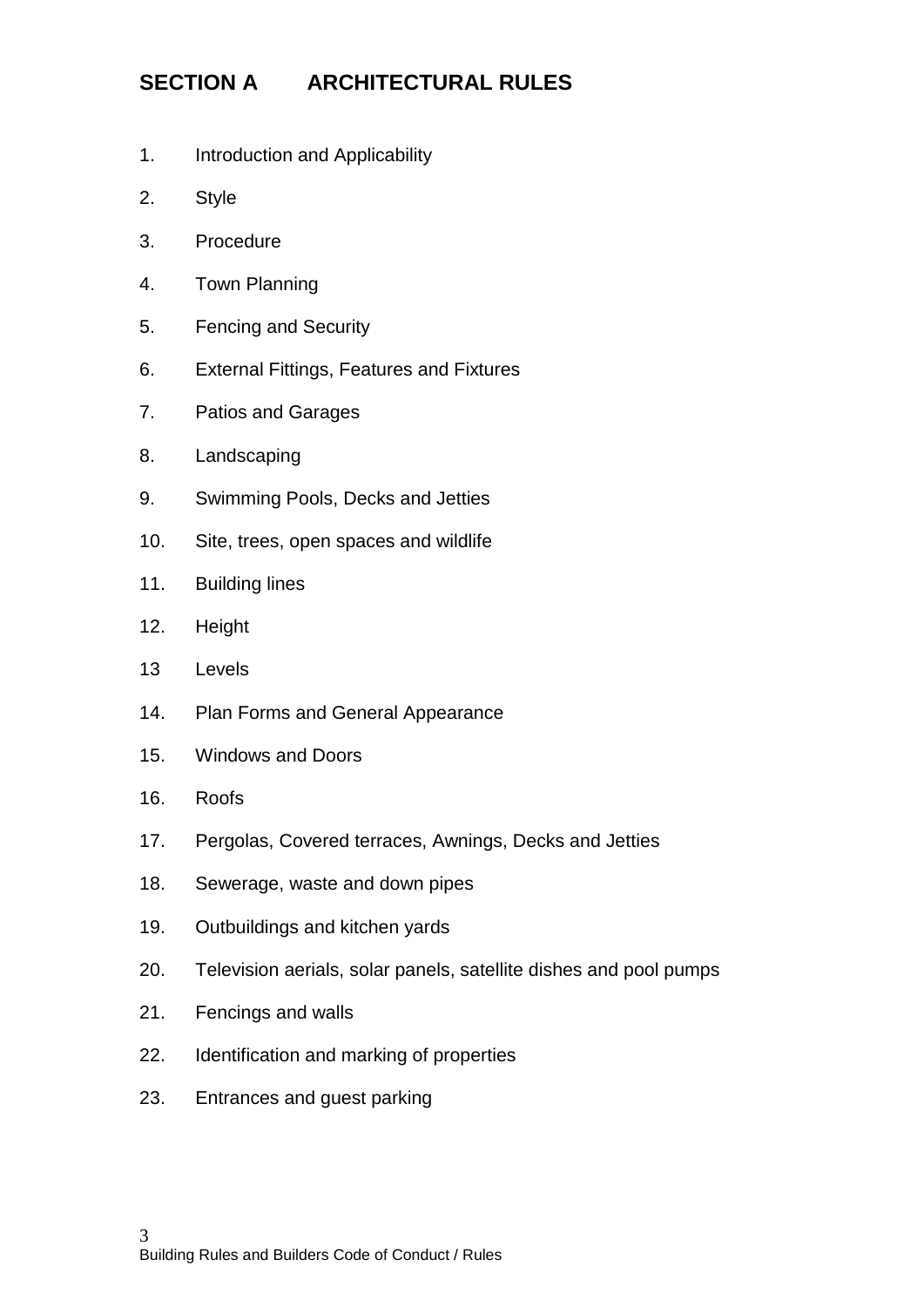# **SECTION A ARCHITECTURAL RULES**

- 1. Introduction and Applicability
- 2. Style
- 3. Procedure
- 4. Town Planning
- 5. Fencing and Security
- 6. External Fittings, Features and Fixtures
- 7. Patios and Garages
- 8. Landscaping
- 9. Swimming Pools, Decks and Jetties
- 10. Site, trees, open spaces and wildlife
- 11. Building lines
- 12. Height
- 13 Levels
- 14. Plan Forms and General Appearance
- 15. Windows and Doors
- 16. Roofs
- 17. Pergolas, Covered terraces, Awnings, Decks and Jetties
- 18. Sewerage, waste and down pipes
- 19. Outbuildings and kitchen yards
- 20. Television aerials, solar panels, satellite dishes and pool pumps
- 21. Fencings and walls
- 22. Identification and marking of properties
- 23. Entrances and guest parking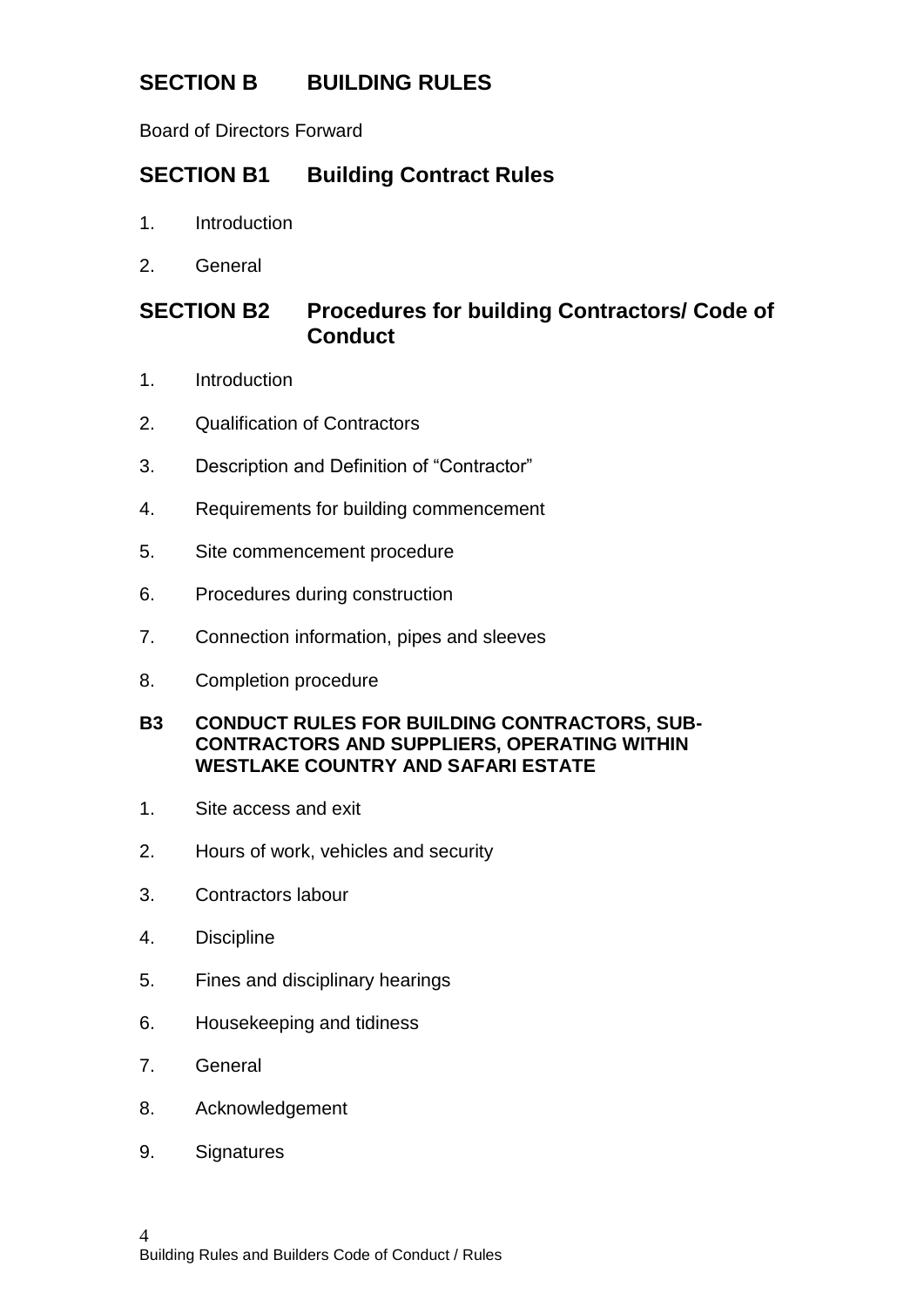# **SECTION B BUILDING RULES**

Board of Directors Forward

# **SECTION B1 Building Contract Rules**

- 1. Introduction
- 2. General

## **SECTION B2 Procedures for building Contractors/ Code of Conduct**

- 1. Introduction
- 2. Qualification of Contractors
- 3. Description and Definition of "Contractor"
- 4. Requirements for building commencement
- 5. Site commencement procedure
- 6. Procedures during construction
- 7. Connection information, pipes and sleeves
- 8. Completion procedure

#### **B3 CONDUCT RULES FOR BUILDING CONTRACTORS, SUB-CONTRACTORS AND SUPPLIERS, OPERATING WITHIN WESTLAKE COUNTRY AND SAFARI ESTATE**

- 1. Site access and exit
- 2. Hours of work, vehicles and security
- 3. Contractors labour
- 4. Discipline
- 5. Fines and disciplinary hearings
- 6. Housekeeping and tidiness
- 7. General
- 8. Acknowledgement
- 9. Signatures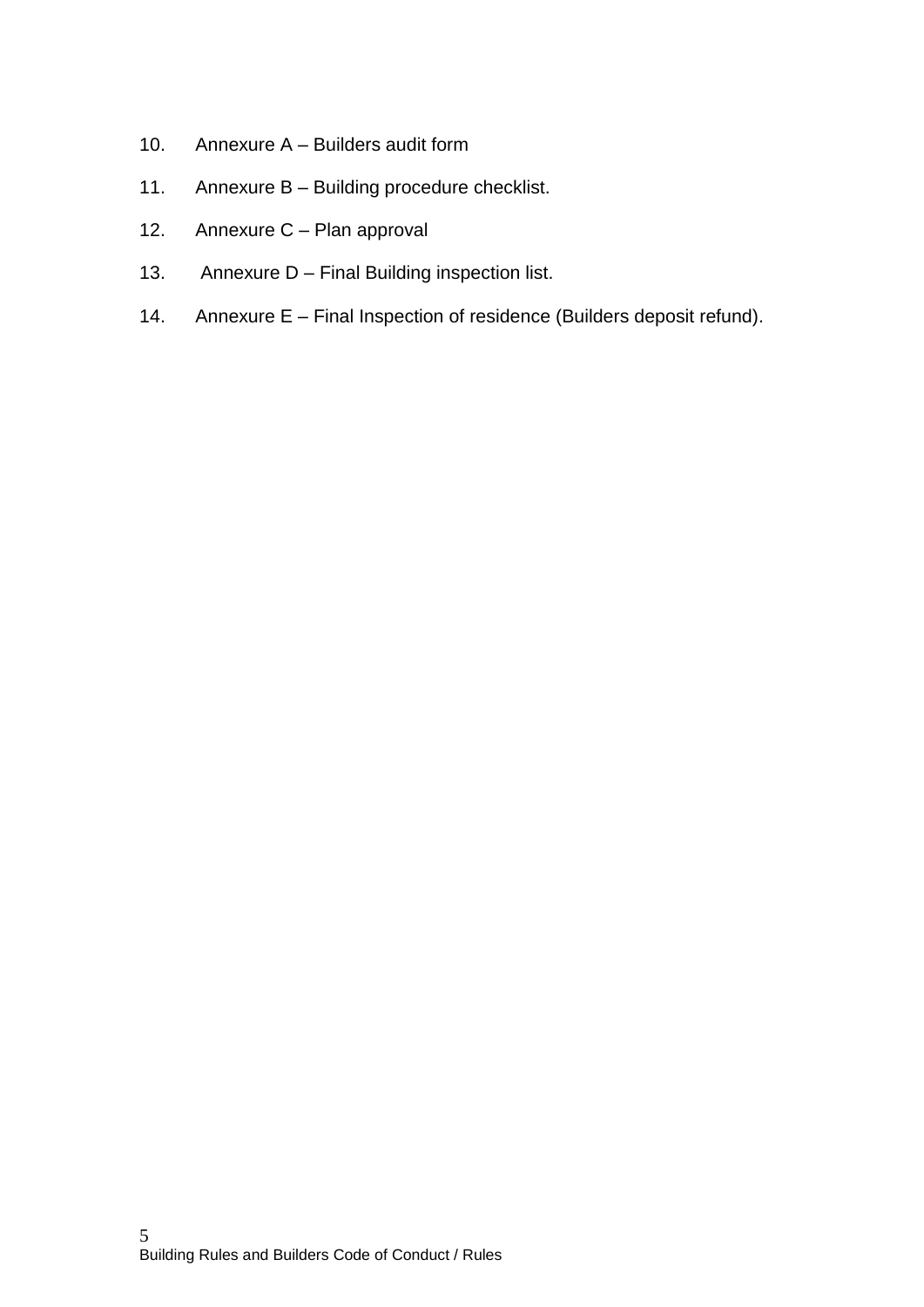- 10. Annexure A Builders audit form
- 11. Annexure B Building procedure checklist.
- 12. Annexure C Plan approval
- 13. Annexure D Final Building inspection list.
- 14. Annexure E Final Inspection of residence (Builders deposit refund).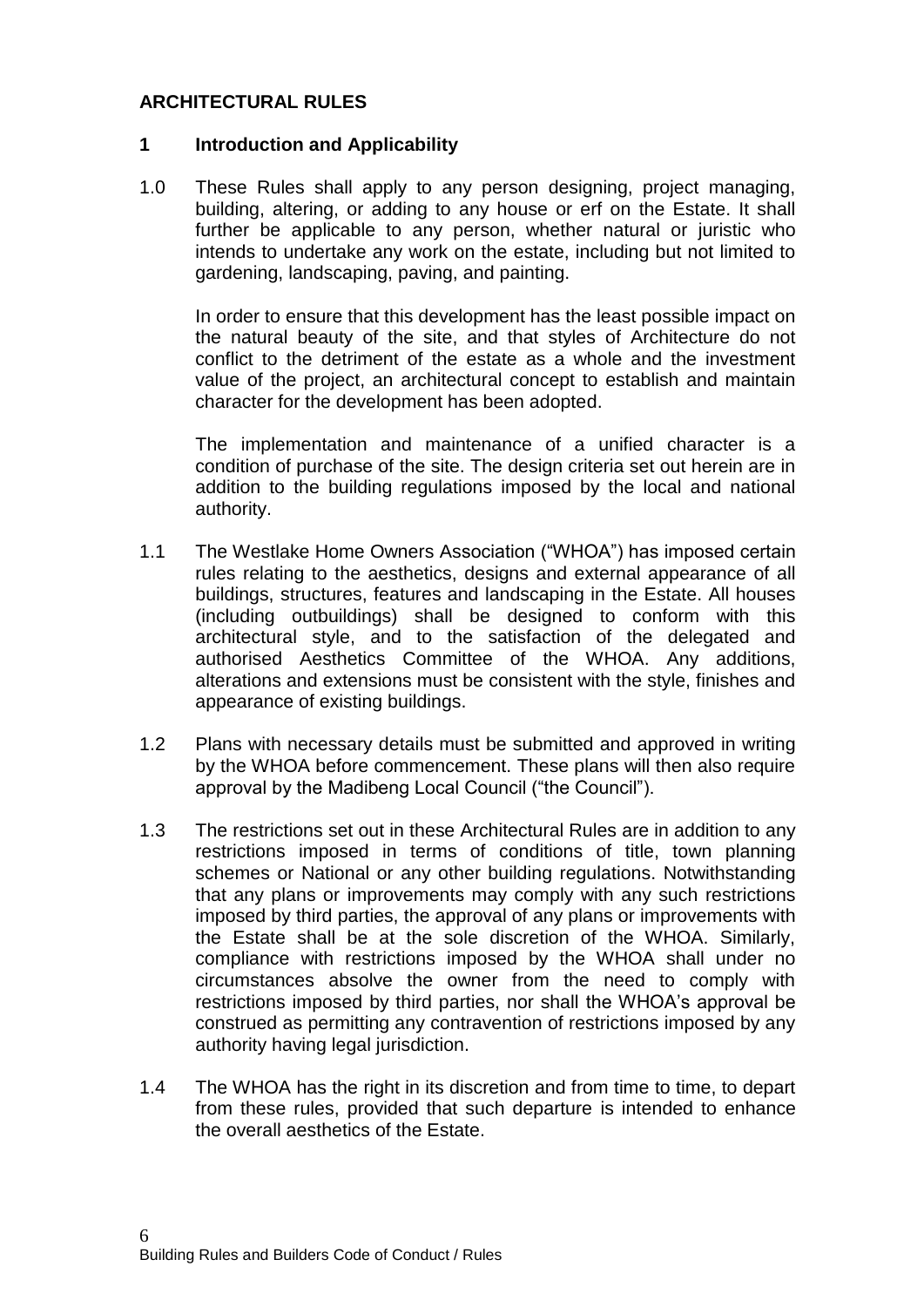## **ARCHITECTURAL RULES**

#### **1 Introduction and Applicability**

1.0 These Rules shall apply to any person designing, project managing, building, altering, or adding to any house or erf on the Estate. It shall further be applicable to any person, whether natural or juristic who intends to undertake any work on the estate, including but not limited to gardening, landscaping, paving, and painting.

In order to ensure that this development has the least possible impact on the natural beauty of the site, and that styles of Architecture do not conflict to the detriment of the estate as a whole and the investment value of the project, an architectural concept to establish and maintain character for the development has been adopted.

The implementation and maintenance of a unified character is a condition of purchase of the site. The design criteria set out herein are in addition to the building regulations imposed by the local and national authority.

- 1.1 The Westlake Home Owners Association ("WHOA") has imposed certain rules relating to the aesthetics, designs and external appearance of all buildings, structures, features and landscaping in the Estate. All houses (including outbuildings) shall be designed to conform with this architectural style, and to the satisfaction of the delegated and authorised Aesthetics Committee of the WHOA. Any additions, alterations and extensions must be consistent with the style, finishes and appearance of existing buildings.
- 1.2 Plans with necessary details must be submitted and approved in writing by the WHOA before commencement. These plans will then also require approval by the Madibeng Local Council ("the Council").
- 1.3 The restrictions set out in these Architectural Rules are in addition to any restrictions imposed in terms of conditions of title, town planning schemes or National or any other building regulations. Notwithstanding that any plans or improvements may comply with any such restrictions imposed by third parties, the approval of any plans or improvements with the Estate shall be at the sole discretion of the WHOA. Similarly, compliance with restrictions imposed by the WHOA shall under no circumstances absolve the owner from the need to comply with restrictions imposed by third parties, nor shall the WHOA's approval be construed as permitting any contravention of restrictions imposed by any authority having legal jurisdiction.
- 1.4 The WHOA has the right in its discretion and from time to time, to depart from these rules, provided that such departure is intended to enhance the overall aesthetics of the Estate.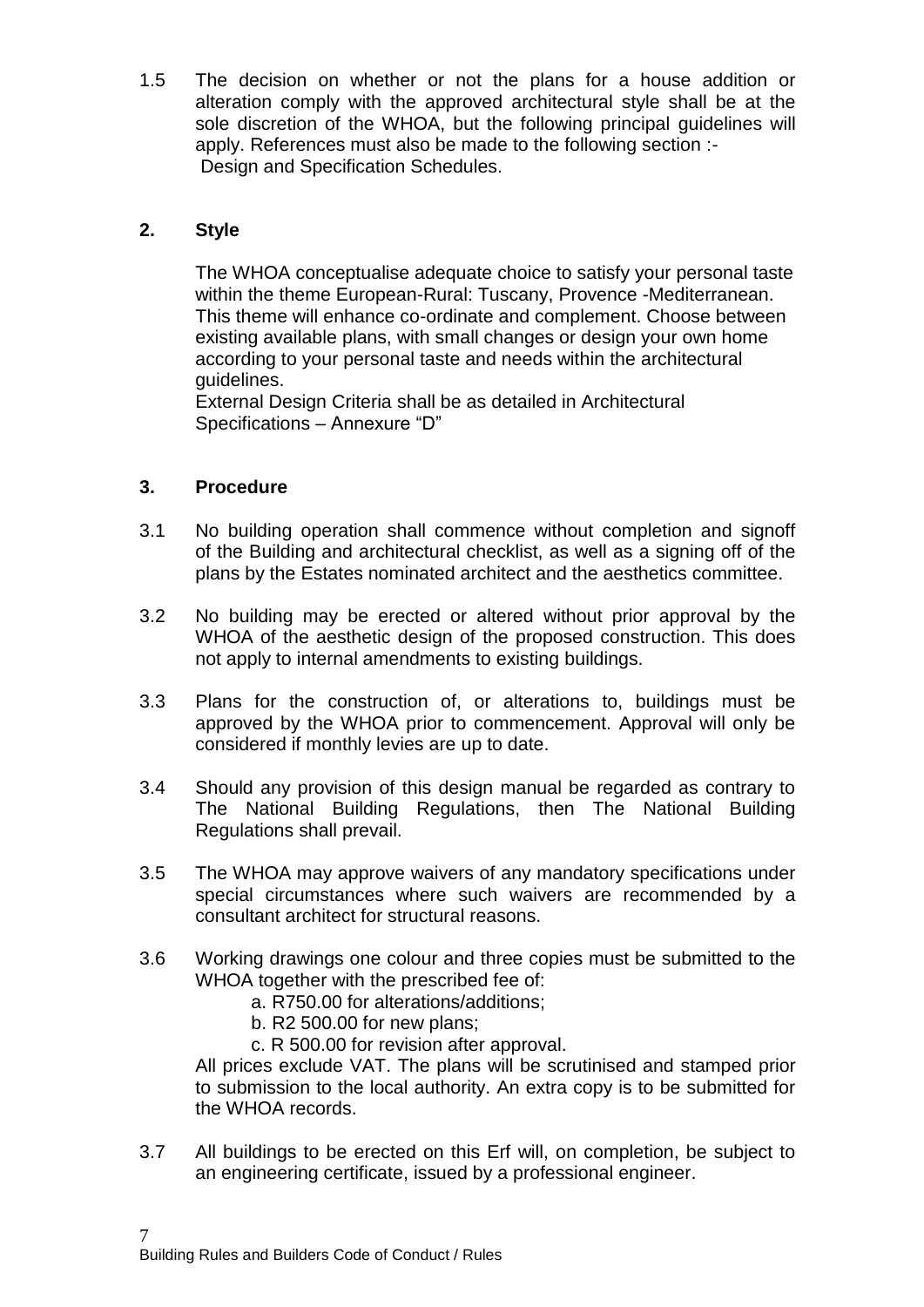1.5 The decision on whether or not the plans for a house addition or alteration comply with the approved architectural style shall be at the sole discretion of the WHOA, but the following principal guidelines will apply. References must also be made to the following section :- Design and Specification Schedules.

## **2. Style**

The WHOA conceptualise adequate choice to satisfy your personal taste within the theme European-Rural: Tuscany, Provence -Mediterranean. This theme will enhance co-ordinate and complement. Choose between existing available plans, with small changes or design your own home according to your personal taste and needs within the architectural guidelines.

External Design Criteria shall be as detailed in Architectural Specifications – Annexure "D"

## **3. Procedure**

- 3.1 No building operation shall commence without completion and signoff of the Building and architectural checklist, as well as a signing off of the plans by the Estates nominated architect and the aesthetics committee.
- 3.2 No building may be erected or altered without prior approval by the WHOA of the aesthetic design of the proposed construction. This does not apply to internal amendments to existing buildings.
- 3.3 Plans for the construction of, or alterations to, buildings must be approved by the WHOA prior to commencement. Approval will only be considered if monthly levies are up to date.
- 3.4 Should any provision of this design manual be regarded as contrary to The National Building Regulations, then The National Building Regulations shall prevail.
- 3.5 The WHOA may approve waivers of any mandatory specifications under special circumstances where such waivers are recommended by a consultant architect for structural reasons.
- 3.6 Working drawings one colour and three copies must be submitted to the WHOA together with the prescribed fee of:
	- a. R750.00 for alterations/additions;
	- b. R2 500.00 for new plans;
	- c. R 500.00 for revision after approval.

All prices exclude VAT. The plans will be scrutinised and stamped prior to submission to the local authority. An extra copy is to be submitted for the WHOA records.

3.7 All buildings to be erected on this Erf will, on completion, be subject to an engineering certificate, issued by a professional engineer.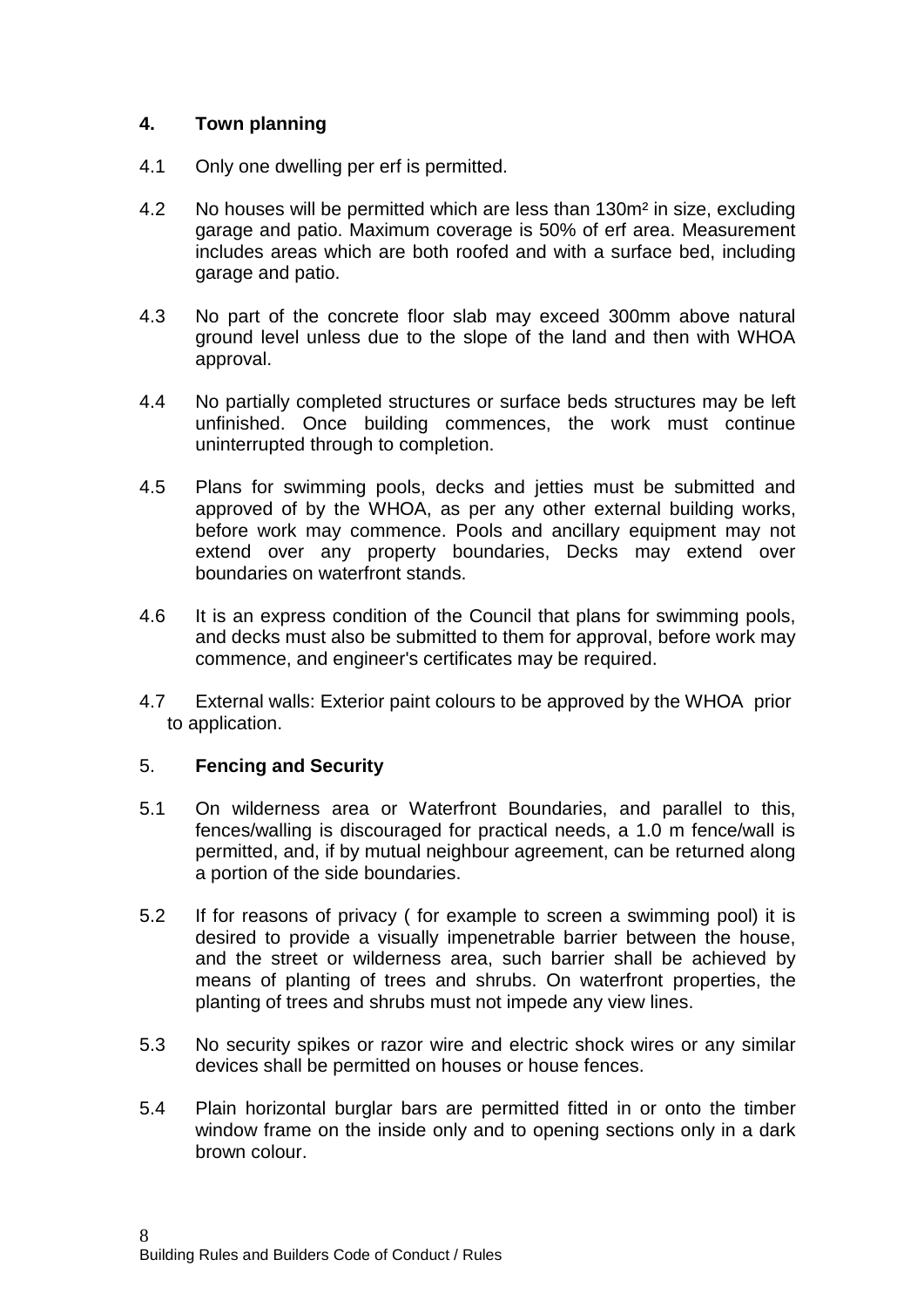## **4. Town planning**

- 4.1 Only one dwelling per erf is permitted.
- 4.2 No houses will be permitted which are less than 130m² in size, excluding garage and patio. Maximum coverage is 50% of erf area. Measurement includes areas which are both roofed and with a surface bed, including garage and patio.
- 4.3 No part of the concrete floor slab may exceed 300mm above natural ground level unless due to the slope of the land and then with WHOA approval.
- 4.4 No partially completed structures or surface beds structures may be left unfinished. Once building commences, the work must continue uninterrupted through to completion.
- 4.5 Plans for swimming pools, decks and jetties must be submitted and approved of by the WHOA, as per any other external building works, before work may commence. Pools and ancillary equipment may not extend over any property boundaries, Decks may extend over boundaries on waterfront stands.
- 4.6 It is an express condition of the Council that plans for swimming pools, and decks must also be submitted to them for approval, before work may commence, and engineer's certificates may be required.
- 4.7 External walls: Exterior paint colours to be approved by the WHOA prior to application.

## 5. **Fencing and Security**

- 5.1 On wilderness area or Waterfront Boundaries, and parallel to this, fences/walling is discouraged for practical needs, a 1.0 m fence/wall is permitted, and, if by mutual neighbour agreement, can be returned along a portion of the side boundaries.
- 5.2 If for reasons of privacy ( for example to screen a swimming pool) it is desired to provide a visually impenetrable barrier between the house, and the street or wilderness area, such barrier shall be achieved by means of planting of trees and shrubs. On waterfront properties, the planting of trees and shrubs must not impede any view lines.
- 5.3 No security spikes or razor wire and electric shock wires or any similar devices shall be permitted on houses or house fences.
- 5.4 Plain horizontal burglar bars are permitted fitted in or onto the timber window frame on the inside only and to opening sections only in a dark brown colour.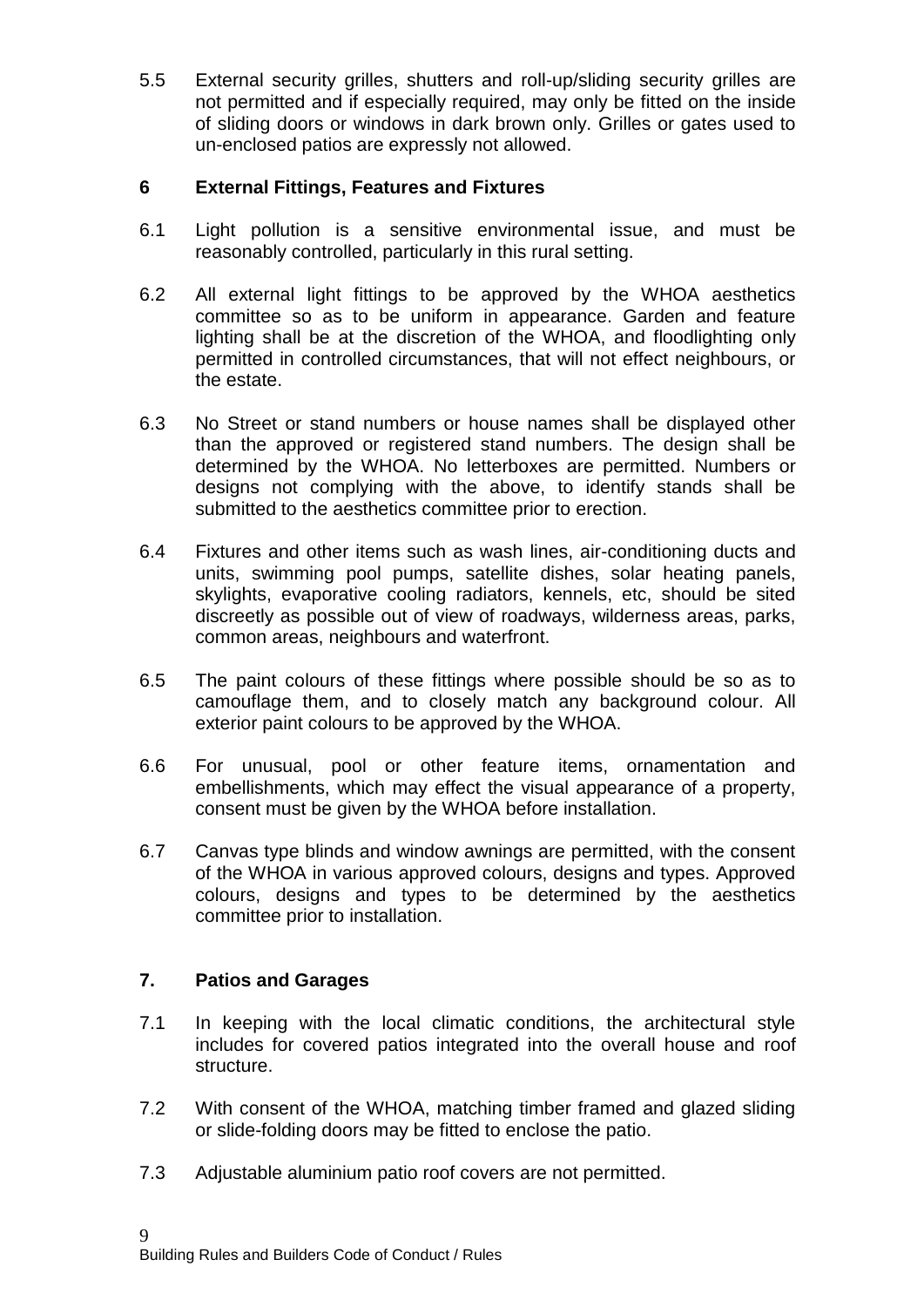5.5 External security grilles, shutters and roll-up/sliding security grilles are not permitted and if especially required, may only be fitted on the inside of sliding doors or windows in dark brown only. Grilles or gates used to un-enclosed patios are expressly not allowed.

## **6 External Fittings, Features and Fixtures**

- 6.1 Light pollution is a sensitive environmental issue, and must be reasonably controlled, particularly in this rural setting.
- 6.2 All external light fittings to be approved by the WHOA aesthetics committee so as to be uniform in appearance. Garden and feature lighting shall be at the discretion of the WHOA, and floodlighting only permitted in controlled circumstances, that will not effect neighbours, or the estate.
- 6.3 No Street or stand numbers or house names shall be displayed other than the approved or registered stand numbers. The design shall be determined by the WHOA. No letterboxes are permitted. Numbers or designs not complying with the above, to identify stands shall be submitted to the aesthetics committee prior to erection.
- 6.4 Fixtures and other items such as wash lines, air-conditioning ducts and units, swimming pool pumps, satellite dishes, solar heating panels, skylights, evaporative cooling radiators, kennels, etc, should be sited discreetly as possible out of view of roadways, wilderness areas, parks, common areas, neighbours and waterfront.
- 6.5 The paint colours of these fittings where possible should be so as to camouflage them, and to closely match any background colour. All exterior paint colours to be approved by the WHOA.
- 6.6 For unusual, pool or other feature items, ornamentation and embellishments, which may effect the visual appearance of a property, consent must be given by the WHOA before installation.
- 6.7 Canvas type blinds and window awnings are permitted, with the consent of the WHOA in various approved colours, designs and types. Approved colours, designs and types to be determined by the aesthetics committee prior to installation.

## **7. Patios and Garages**

- 7.1 In keeping with the local climatic conditions, the architectural style includes for covered patios integrated into the overall house and roof structure.
- 7.2 With consent of the WHOA, matching timber framed and glazed sliding or slide-folding doors may be fitted to enclose the patio.
- 7.3 Adjustable aluminium patio roof covers are not permitted.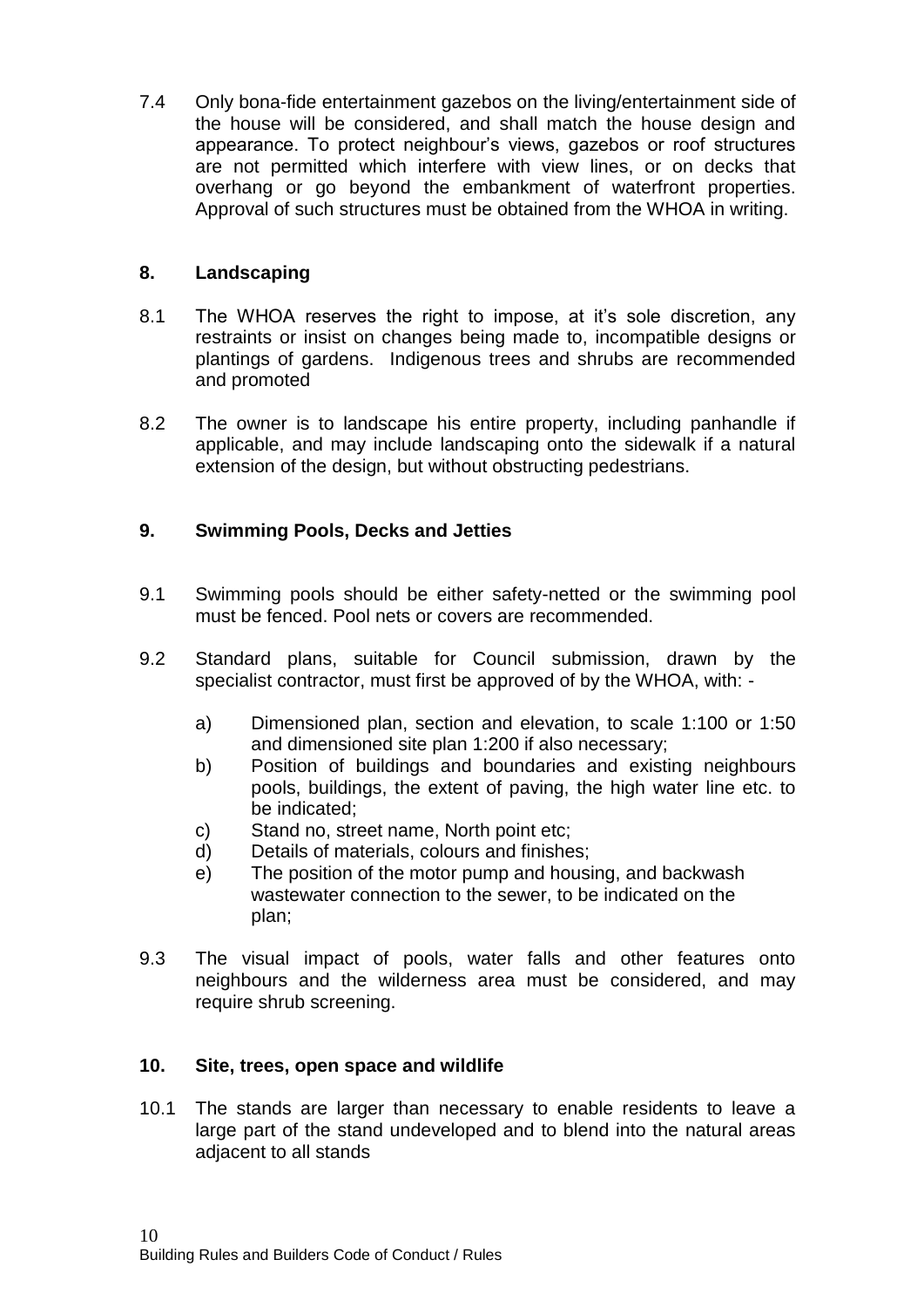7.4 Only bona-fide entertainment gazebos on the living/entertainment side of the house will be considered, and shall match the house design and appearance. To protect neighbour's views, gazebos or roof structures are not permitted which interfere with view lines, or on decks that overhang or go beyond the embankment of waterfront properties. Approval of such structures must be obtained from the WHOA in writing.

## **8. Landscaping**

- 8.1 The WHOA reserves the right to impose, at it's sole discretion, any restraints or insist on changes being made to, incompatible designs or plantings of gardens. Indigenous trees and shrubs are recommended and promoted
- 8.2 The owner is to landscape his entire property, including panhandle if applicable, and may include landscaping onto the sidewalk if a natural extension of the design, but without obstructing pedestrians.

## **9. Swimming Pools, Decks and Jetties**

- 9.1 Swimming pools should be either safety-netted or the swimming pool must be fenced. Pool nets or covers are recommended.
- 9.2 Standard plans, suitable for Council submission, drawn by the specialist contractor, must first be approved of by the WHOA, with:
	- a) Dimensioned plan, section and elevation, to scale 1:100 or 1:50 and dimensioned site plan 1:200 if also necessary;
	- b) Position of buildings and boundaries and existing neighbours pools, buildings, the extent of paving, the high water line etc. to be indicated;
	- c) Stand no, street name, North point etc;
	- d) Details of materials, colours and finishes;
	- e) The position of the motor pump and housing, and backwash wastewater connection to the sewer, to be indicated on the plan;
- 9.3 The visual impact of pools, water falls and other features onto neighbours and the wilderness area must be considered, and may require shrub screening.

## **10. Site, trees, open space and wildlife**

10.1 The stands are larger than necessary to enable residents to leave a large part of the stand undeveloped and to blend into the natural areas adjacent to all stands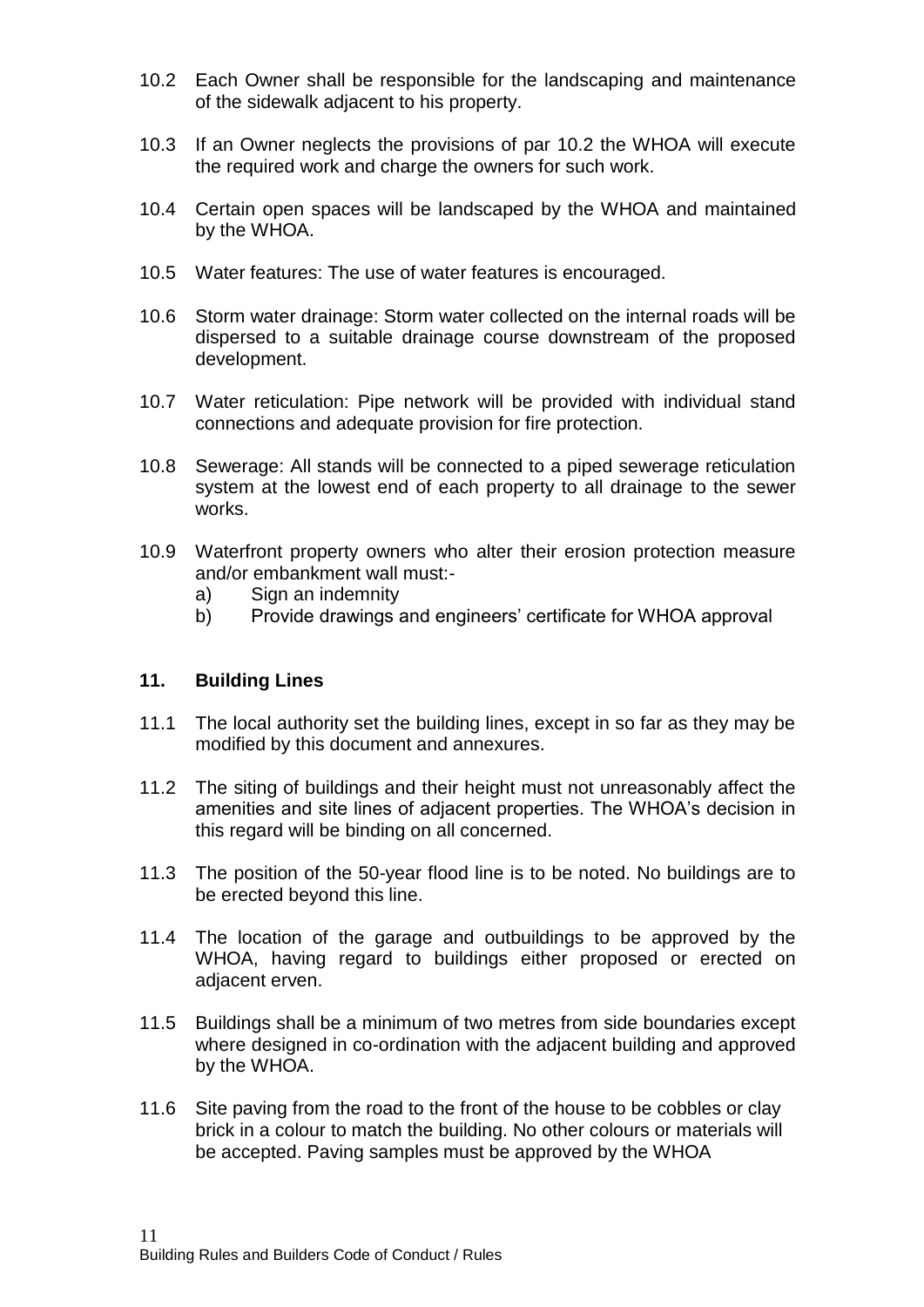- 10.2 Each Owner shall be responsible for the landscaping and maintenance of the sidewalk adjacent to his property.
- 10.3 If an Owner neglects the provisions of par 10.2 the WHOA will execute the required work and charge the owners for such work.
- 10.4 Certain open spaces will be landscaped by the WHOA and maintained by the WHOA.
- 10.5 Water features: The use of water features is encouraged.
- 10.6 Storm water drainage: Storm water collected on the internal roads will be dispersed to a suitable drainage course downstream of the proposed development.
- 10.7 Water reticulation: Pipe network will be provided with individual stand connections and adequate provision for fire protection.
- 10.8 Sewerage: All stands will be connected to a piped sewerage reticulation system at the lowest end of each property to all drainage to the sewer works.
- 10.9 Waterfront property owners who alter their erosion protection measure and/or embankment wall must:
	- a) Sign an indemnity
	- b) Provide drawings and engineers' certificate for WHOA approval

#### **11. Building Lines**

- 11.1 The local authority set the building lines, except in so far as they may be modified by this document and annexures.
- 11.2 The siting of buildings and their height must not unreasonably affect the amenities and site lines of adjacent properties. The WHOA's decision in this regard will be binding on all concerned.
- 11.3 The position of the 50-year flood line is to be noted. No buildings are to be erected beyond this line.
- 11.4 The location of the garage and outbuildings to be approved by the WHOA, having regard to buildings either proposed or erected on adjacent erven.
- 11.5 Buildings shall be a minimum of two metres from side boundaries except where designed in co-ordination with the adjacent building and approved by the WHOA.
- 11.6 Site paving from the road to the front of the house to be cobbles or clay brick in a colour to match the building. No other colours or materials will be accepted. Paving samples must be approved by the WHOA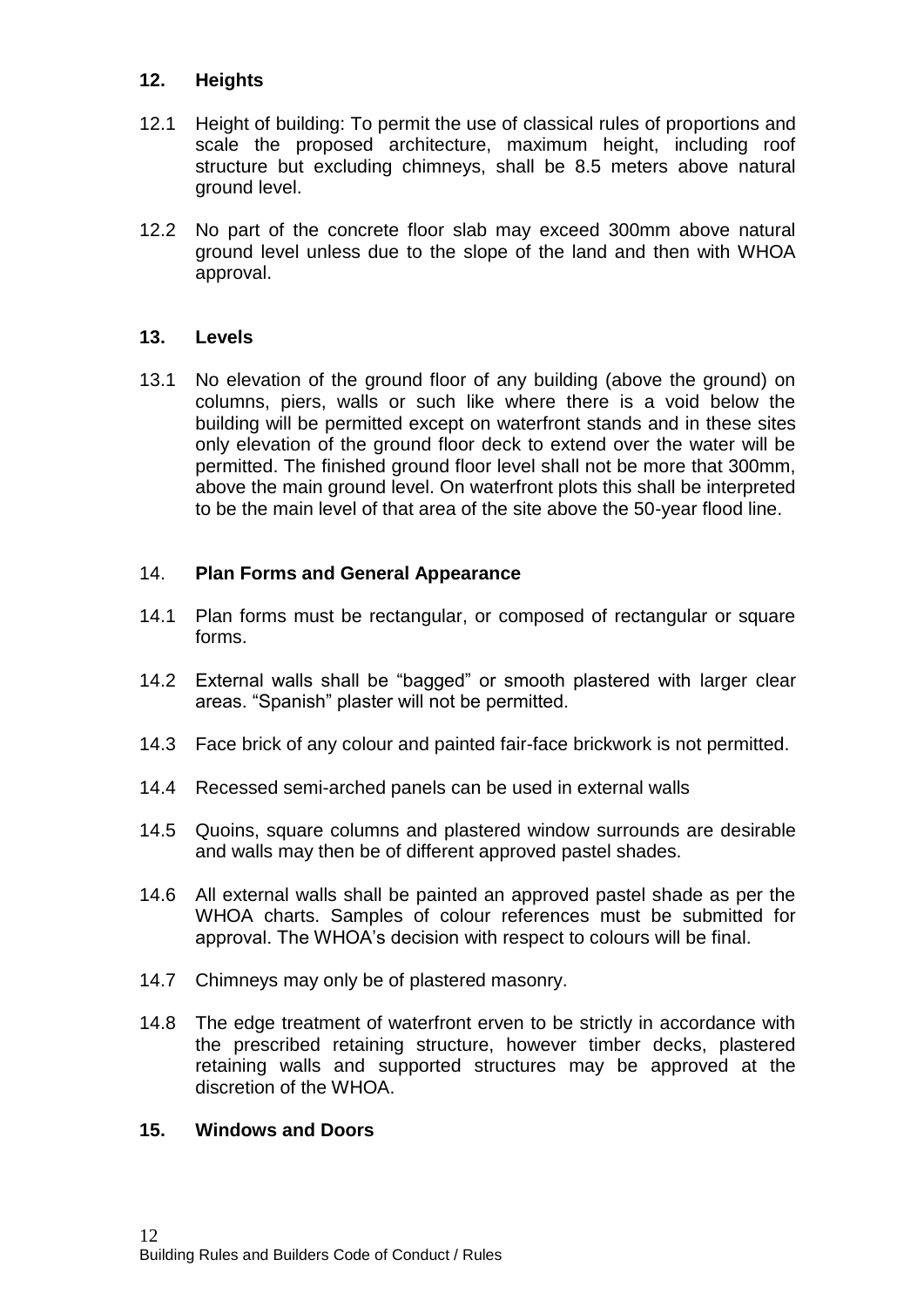## **12. Heights**

- 12.1 Height of building: To permit the use of classical rules of proportions and scale the proposed architecture, maximum height, including roof structure but excluding chimneys, shall be 8.5 meters above natural ground level.
- 12.2 No part of the concrete floor slab may exceed 300mm above natural ground level unless due to the slope of the land and then with WHOA approval.

## **13. Levels**

13.1 No elevation of the ground floor of any building (above the ground) on columns, piers, walls or such like where there is a void below the building will be permitted except on waterfront stands and in these sites only elevation of the ground floor deck to extend over the water will be permitted. The finished ground floor level shall not be more that 300mm, above the main ground level. On waterfront plots this shall be interpreted to be the main level of that area of the site above the 50-year flood line.

## 14. **Plan Forms and General Appearance**

- 14.1 Plan forms must be rectangular, or composed of rectangular or square forms.
- 14.2 External walls shall be "bagged" or smooth plastered with larger clear areas. "Spanish" plaster will not be permitted.
- 14.3 Face brick of any colour and painted fair-face brickwork is not permitted.
- 14.4 Recessed semi-arched panels can be used in external walls
- 14.5 Quoins, square columns and plastered window surrounds are desirable and walls may then be of different approved pastel shades.
- 14.6 All external walls shall be painted an approved pastel shade as per the WHOA charts. Samples of colour references must be submitted for approval. The WHOA's decision with respect to colours will be final.
- 14.7 Chimneys may only be of plastered masonry.
- 14.8 The edge treatment of waterfront erven to be strictly in accordance with the prescribed retaining structure, however timber decks, plastered retaining walls and supported structures may be approved at the discretion of the WHOA.

#### **15. Windows and Doors**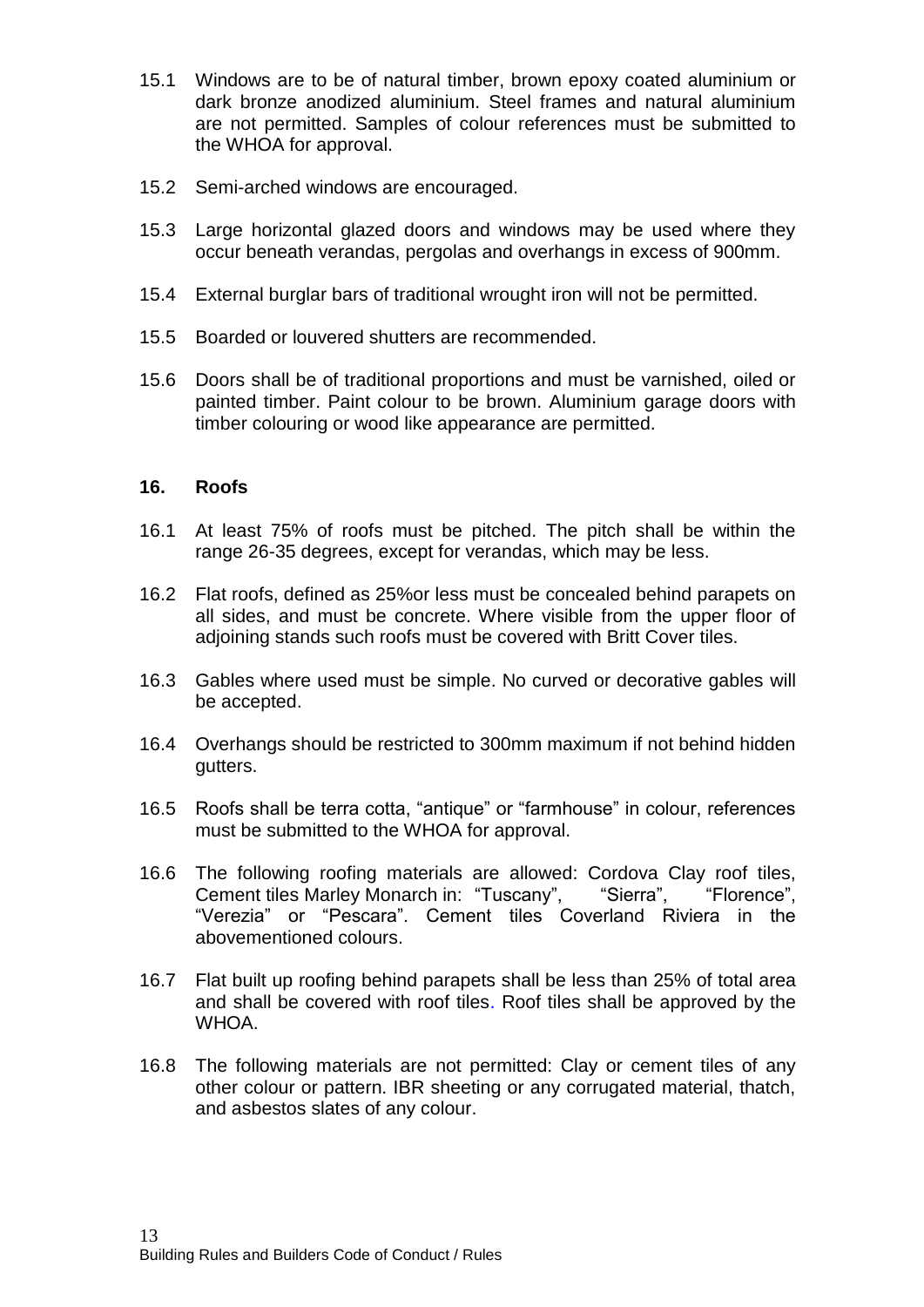- 15.1 Windows are to be of natural timber, brown epoxy coated aluminium or dark bronze anodized aluminium. Steel frames and natural aluminium are not permitted. Samples of colour references must be submitted to the WHOA for approval.
- 15.2 Semi-arched windows are encouraged.
- 15.3 Large horizontal glazed doors and windows may be used where they occur beneath verandas, pergolas and overhangs in excess of 900mm.
- 15.4 External burglar bars of traditional wrought iron will not be permitted.
- 15.5 Boarded or louvered shutters are recommended.
- 15.6 Doors shall be of traditional proportions and must be varnished, oiled or painted timber. Paint colour to be brown. Aluminium garage doors with timber colouring or wood like appearance are permitted.

#### **16. Roofs**

- 16.1 At least 75% of roofs must be pitched. The pitch shall be within the range 26-35 degrees, except for verandas, which may be less.
- 16.2 Flat roofs, defined as 25%or less must be concealed behind parapets on all sides, and must be concrete. Where visible from the upper floor of adjoining stands such roofs must be covered with Britt Cover tiles.
- 16.3 Gables where used must be simple. No curved or decorative gables will be accepted.
- 16.4 Overhangs should be restricted to 300mm maximum if not behind hidden gutters.
- 16.5 Roofs shall be terra cotta, "antique" or "farmhouse" in colour, references must be submitted to the WHOA for approval.
- 16.6 The following roofing materials are allowed: Cordova Clay roof tiles, Cement tiles Marley Monarch in: "Tuscany", "Sierra", "Florence", "Verezia" or "Pescara". Cement tiles Coverland Riviera in the abovementioned colours.
- 16.7 Flat built up roofing behind parapets shall be less than 25% of total area and shall be covered with roof tiles. Roof tiles shall be approved by the WHOA.
- 16.8 The following materials are not permitted: Clay or cement tiles of any other colour or pattern. IBR sheeting or any corrugated material, thatch, and asbestos slates of any colour.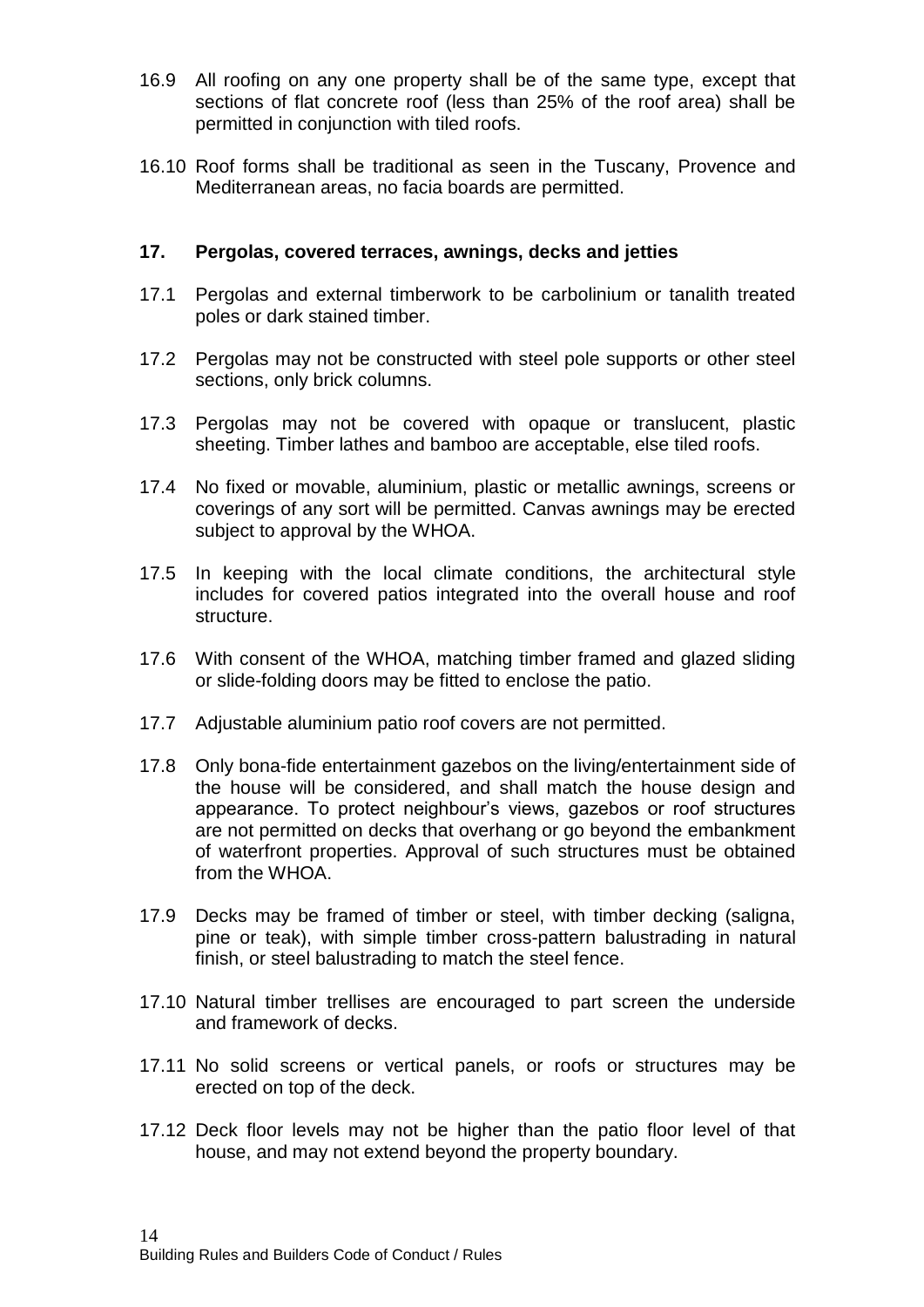- 16.9 All roofing on any one property shall be of the same type, except that sections of flat concrete roof (less than 25% of the roof area) shall be permitted in conjunction with tiled roofs.
- 16.10 Roof forms shall be traditional as seen in the Tuscany, Provence and Mediterranean areas, no facia boards are permitted.

#### **17. Pergolas, covered terraces, awnings, decks and jetties**

- 17.1 Pergolas and external timberwork to be carbolinium or tanalith treated poles or dark stained timber.
- 17.2 Pergolas may not be constructed with steel pole supports or other steel sections, only brick columns.
- 17.3 Pergolas may not be covered with opaque or translucent, plastic sheeting. Timber lathes and bamboo are acceptable, else tiled roofs.
- 17.4 No fixed or movable, aluminium, plastic or metallic awnings, screens or coverings of any sort will be permitted. Canvas awnings may be erected subject to approval by the WHOA.
- 17.5 In keeping with the local climate conditions, the architectural style includes for covered patios integrated into the overall house and roof structure.
- 17.6 With consent of the WHOA, matching timber framed and glazed sliding or slide-folding doors may be fitted to enclose the patio.
- 17.7 Adjustable aluminium patio roof covers are not permitted.
- 17.8 Only bona-fide entertainment gazebos on the living/entertainment side of the house will be considered, and shall match the house design and appearance. To protect neighbour's views, gazebos or roof structures are not permitted on decks that overhang or go beyond the embankment of waterfront properties. Approval of such structures must be obtained from the WHOA.
- 17.9 Decks may be framed of timber or steel, with timber decking (saligna, pine or teak), with simple timber cross-pattern balustrading in natural finish, or steel balustrading to match the steel fence.
- 17.10 Natural timber trellises are encouraged to part screen the underside and framework of decks.
- 17.11 No solid screens or vertical panels, or roofs or structures may be erected on top of the deck.
- 17.12 Deck floor levels may not be higher than the patio floor level of that house, and may not extend beyond the property boundary.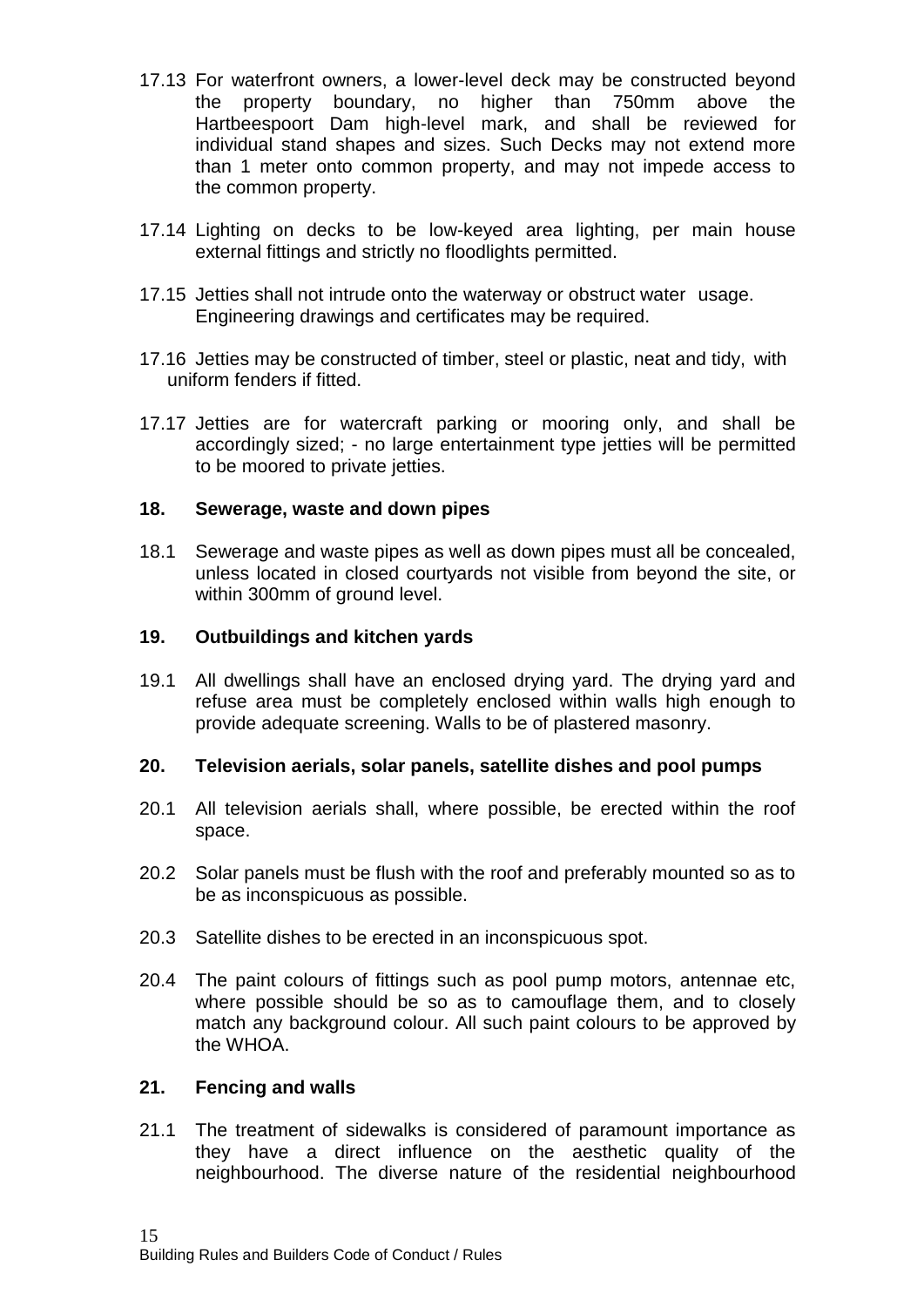- 17.13 For waterfront owners, a lower-level deck may be constructed beyond the property boundary, no higher than 750mm above the Hartbeespoort Dam high-level mark, and shall be reviewed for individual stand shapes and sizes. Such Decks may not extend more than 1 meter onto common property, and may not impede access to the common property.
- 17.14 Lighting on decks to be low-keyed area lighting, per main house external fittings and strictly no floodlights permitted.
- 17.15 Jetties shall not intrude onto the waterway or obstruct water usage. Engineering drawings and certificates may be required.
- 17.16 Jetties may be constructed of timber, steel or plastic, neat and tidy, with uniform fenders if fitted.
- 17.17 Jetties are for watercraft parking or mooring only, and shall be accordingly sized; - no large entertainment type jetties will be permitted to be moored to private jetties.

#### **18. Sewerage, waste and down pipes**

18.1 Sewerage and waste pipes as well as down pipes must all be concealed, unless located in closed courtyards not visible from beyond the site, or within 300mm of ground level.

#### **19. Outbuildings and kitchen yards**

19.1 All dwellings shall have an enclosed drying yard. The drying yard and refuse area must be completely enclosed within walls high enough to provide adequate screening. Walls to be of plastered masonry.

#### **20. Television aerials, solar panels, satellite dishes and pool pumps**

- 20.1 All television aerials shall, where possible, be erected within the roof space.
- 20.2 Solar panels must be flush with the roof and preferably mounted so as to be as inconspicuous as possible.
- 20.3 Satellite dishes to be erected in an inconspicuous spot.
- 20.4 The paint colours of fittings such as pool pump motors, antennae etc, where possible should be so as to camouflage them, and to closely match any background colour. All such paint colours to be approved by the WHOA.

#### **21. Fencing and walls**

21.1 The treatment of sidewalks is considered of paramount importance as they have a direct influence on the aesthetic quality of the neighbourhood. The diverse nature of the residential neighbourhood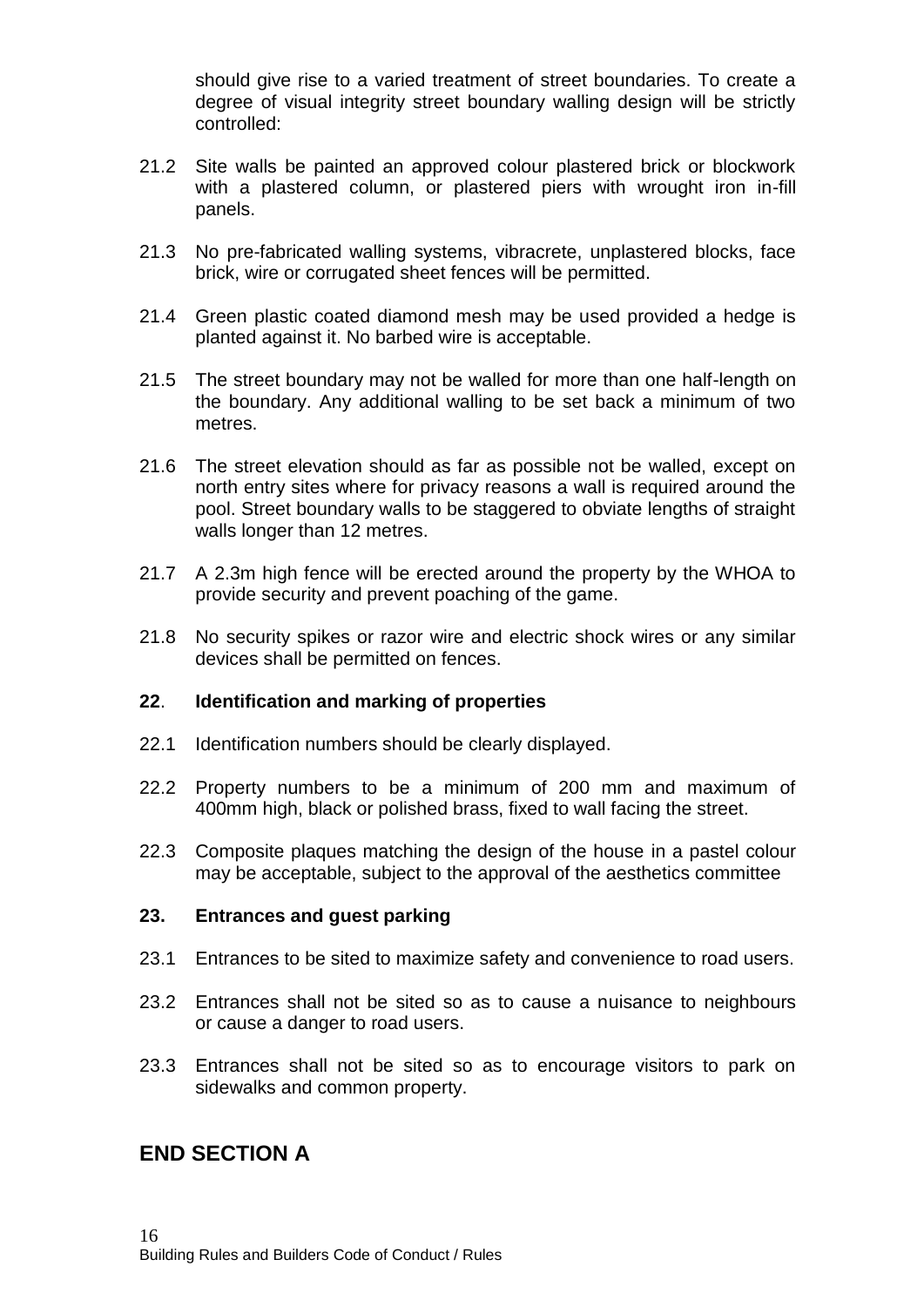should give rise to a varied treatment of street boundaries. To create a degree of visual integrity street boundary walling design will be strictly controlled:

- 21.2 Site walls be painted an approved colour plastered brick or blockwork with a plastered column, or plastered piers with wrought iron in-fill panels.
- 21.3 No pre-fabricated walling systems, vibracrete, unplastered blocks, face brick, wire or corrugated sheet fences will be permitted.
- 21.4 Green plastic coated diamond mesh may be used provided a hedge is planted against it. No barbed wire is acceptable.
- 21.5 The street boundary may not be walled for more than one half-length on the boundary. Any additional walling to be set back a minimum of two metres.
- 21.6 The street elevation should as far as possible not be walled, except on north entry sites where for privacy reasons a wall is required around the pool. Street boundary walls to be staggered to obviate lengths of straight walls longer than 12 metres.
- 21.7 A 2.3m high fence will be erected around the property by the WHOA to provide security and prevent poaching of the game.
- 21.8 No security spikes or razor wire and electric shock wires or any similar devices shall be permitted on fences.

#### **22**. **Identification and marking of properties**

- 22.1 Identification numbers should be clearly displayed.
- 22.2 Property numbers to be a minimum of 200 mm and maximum of 400mm high, black or polished brass, fixed to wall facing the street.
- 22.3 Composite plaques matching the design of the house in a pastel colour may be acceptable, subject to the approval of the aesthetics committee

#### **23. Entrances and guest parking**

- 23.1 Entrances to be sited to maximize safety and convenience to road users.
- 23.2 Entrances shall not be sited so as to cause a nuisance to neighbours or cause a danger to road users.
- 23.3 Entrances shall not be sited so as to encourage visitors to park on sidewalks and common property.

## **END SECTION A**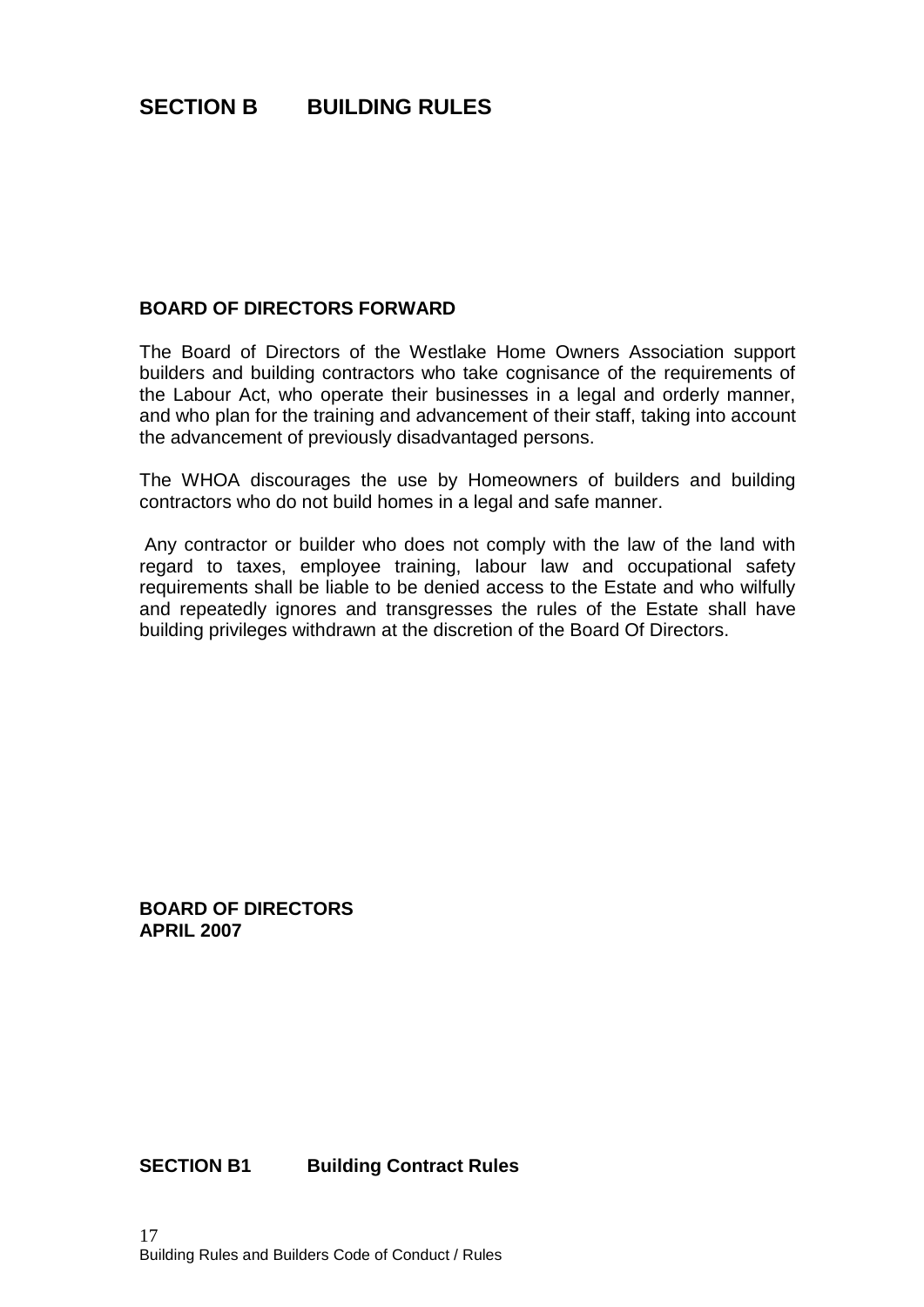# **SECTION B BUILDING RULES**

#### **BOARD OF DIRECTORS FORWARD**

The Board of Directors of the Westlake Home Owners Association support builders and building contractors who take cognisance of the requirements of the Labour Act, who operate their businesses in a legal and orderly manner, and who plan for the training and advancement of their staff, taking into account the advancement of previously disadvantaged persons.

The WHOA discourages the use by Homeowners of builders and building contractors who do not build homes in a legal and safe manner.

Any contractor or builder who does not comply with the law of the land with regard to taxes, employee training, labour law and occupational safety requirements shall be liable to be denied access to the Estate and who wilfully and repeatedly ignores and transgresses the rules of the Estate shall have building privileges withdrawn at the discretion of the Board Of Directors.

**BOARD OF DIRECTORS APRIL 2007**

**SECTION B1 Building Contract Rules**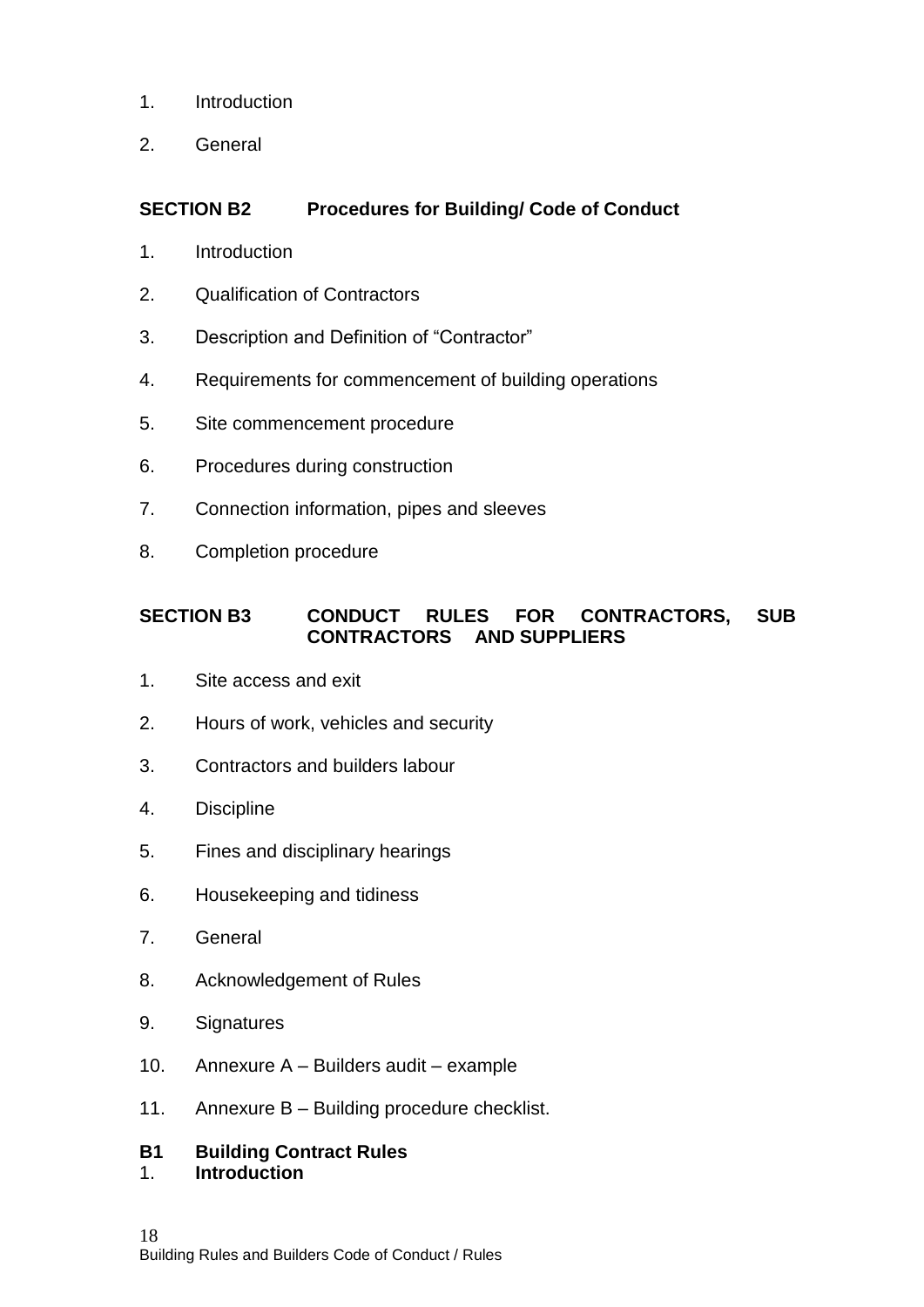- 1. Introduction
- 2. General

## **SECTION B2 Procedures for Building/ Code of Conduct**

- 1. Introduction
- 2. Qualification of Contractors
- 3. Description and Definition of "Contractor"
- 4. Requirements for commencement of building operations
- 5. Site commencement procedure
- 6. Procedures during construction
- 7. Connection information, pipes and sleeves
- 8. Completion procedure

## **SECTION B3 CONDUCT RULES FOR CONTRACTORS, SUB CONTRACTORS AND SUPPLIERS**

- 1. Site access and exit
- 2. Hours of work, vehicles and security
- 3. Contractors and builders labour
- 4. Discipline
- 5. Fines and disciplinary hearings
- 6. Housekeeping and tidiness
- 7. General
- 8. Acknowledgement of Rules
- 9. Signatures
- 10. Annexure A Builders audit example
- 11. Annexure B Building procedure checklist.

#### **B1 Building Contract Rules**  1. **Introduction**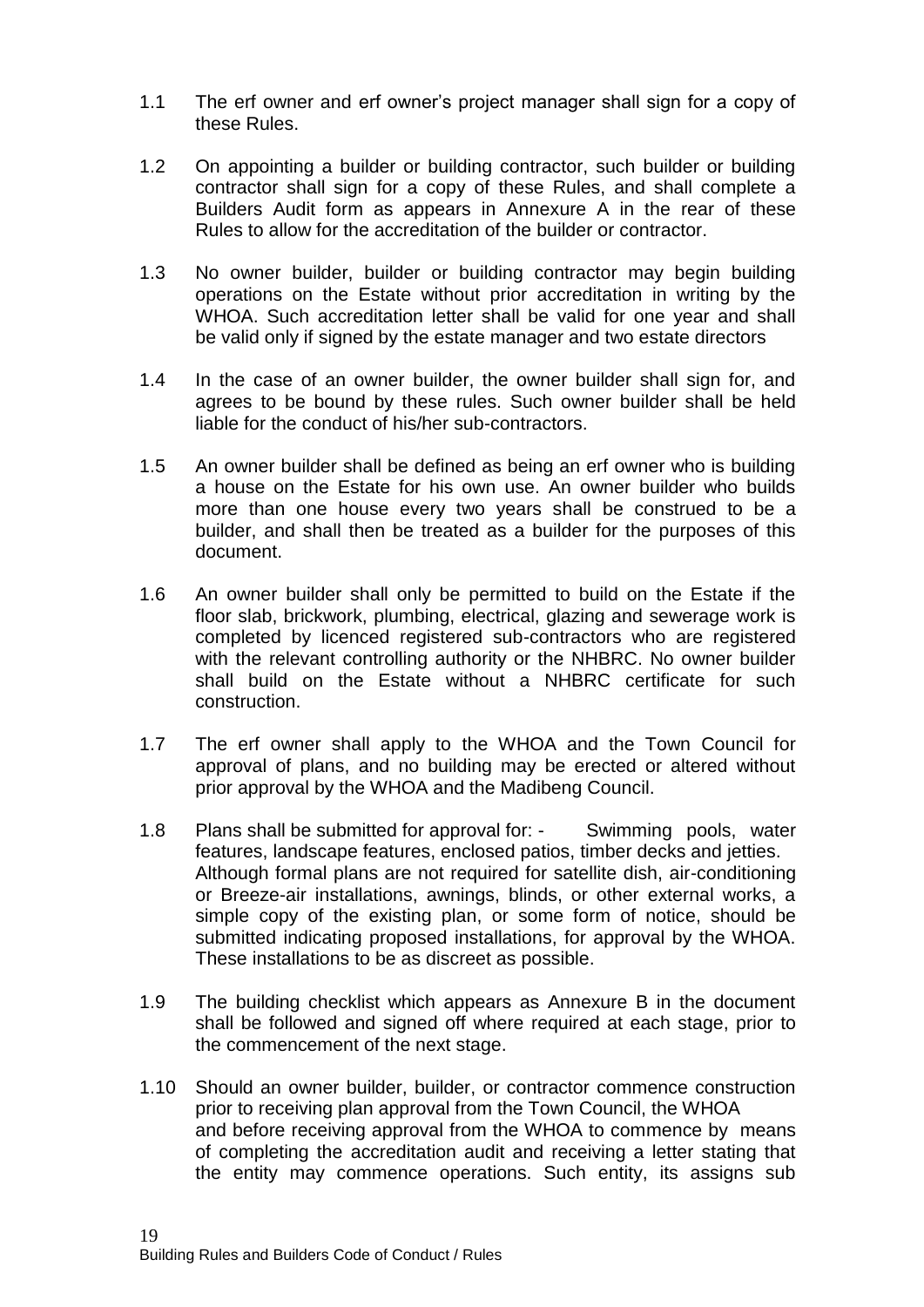- 1.1 The erf owner and erf owner's project manager shall sign for a copy of these Rules.
- 1.2 On appointing a builder or building contractor, such builder or building contractor shall sign for a copy of these Rules, and shall complete a Builders Audit form as appears in Annexure A in the rear of these Rules to allow for the accreditation of the builder or contractor.
- 1.3 No owner builder, builder or building contractor may begin building operations on the Estate without prior accreditation in writing by the WHOA. Such accreditation letter shall be valid for one year and shall be valid only if signed by the estate manager and two estate directors
- 1.4 In the case of an owner builder, the owner builder shall sign for, and agrees to be bound by these rules. Such owner builder shall be held liable for the conduct of his/her sub-contractors.
- 1.5 An owner builder shall be defined as being an erf owner who is building a house on the Estate for his own use. An owner builder who builds more than one house every two years shall be construed to be a builder, and shall then be treated as a builder for the purposes of this document.
- 1.6 An owner builder shall only be permitted to build on the Estate if the floor slab, brickwork, plumbing, electrical, glazing and sewerage work is completed by licenced registered sub-contractors who are registered with the relevant controlling authority or the NHBRC. No owner builder shall build on the Estate without a NHBRC certificate for such construction.
- 1.7 The erf owner shall apply to the WHOA and the Town Council for approval of plans, and no building may be erected or altered without prior approval by the WHOA and the Madibeng Council.
- 1.8 Plans shall be submitted for approval for: Swimming pools, water features, landscape features, enclosed patios, timber decks and jetties. Although formal plans are not required for satellite dish, air-conditioning or Breeze-air installations, awnings, blinds, or other external works, a simple copy of the existing plan, or some form of notice, should be submitted indicating proposed installations, for approval by the WHOA. These installations to be as discreet as possible.
- 1.9 The building checklist which appears as Annexure B in the document shall be followed and signed off where required at each stage, prior to the commencement of the next stage.
- 1.10 Should an owner builder, builder, or contractor commence construction prior to receiving plan approval from the Town Council, the WHOA and before receiving approval from the WHOA to commence by means of completing the accreditation audit and receiving a letter stating that the entity may commence operations. Such entity, its assigns sub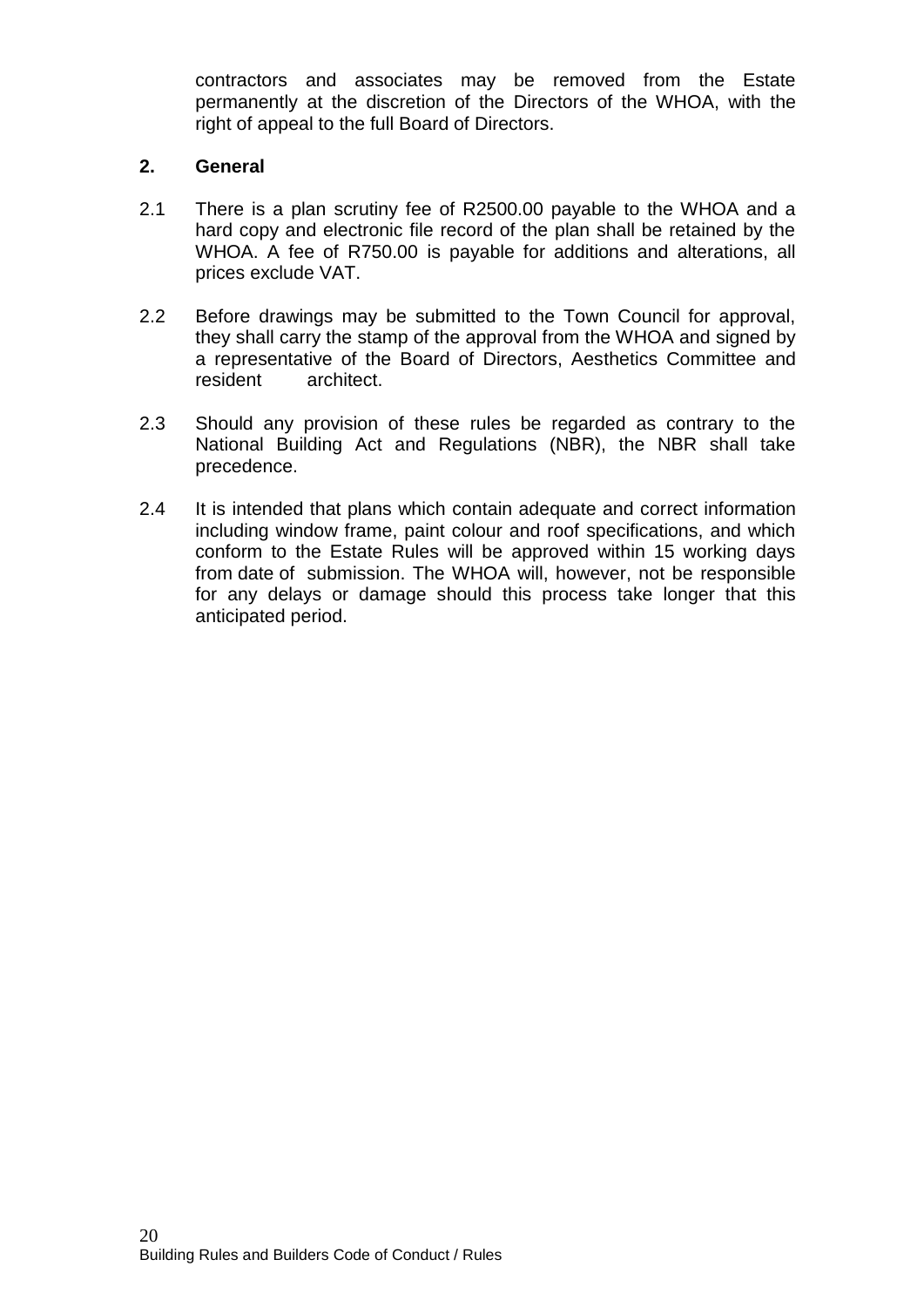contractors and associates may be removed from the Estate permanently at the discretion of the Directors of the WHOA, with the right of appeal to the full Board of Directors.

### **2. General**

- 2.1 There is a plan scrutiny fee of R2500.00 payable to the WHOA and a hard copy and electronic file record of the plan shall be retained by the WHOA. A fee of R750.00 is payable for additions and alterations, all prices exclude VAT.
- 2.2 Before drawings may be submitted to the Town Council for approval, they shall carry the stamp of the approval from the WHOA and signed by a representative of the Board of Directors, Aesthetics Committee and resident architect.
- 2.3 Should any provision of these rules be regarded as contrary to the National Building Act and Regulations (NBR), the NBR shall take precedence.
- 2.4 It is intended that plans which contain adequate and correct information including window frame, paint colour and roof specifications, and which conform to the Estate Rules will be approved within 15 working days from date of submission. The WHOA will, however, not be responsible for any delays or damage should this process take longer that this anticipated period.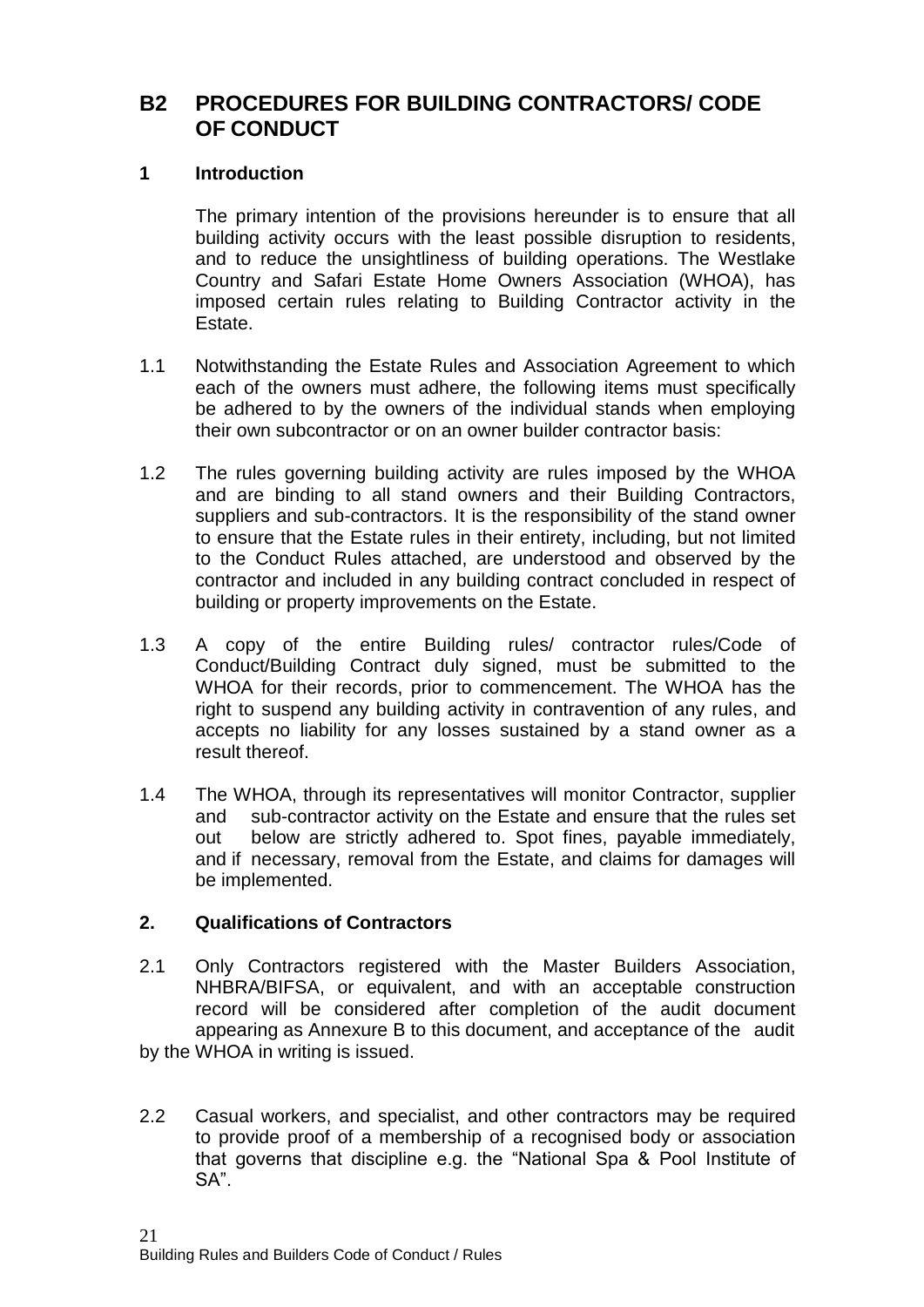## **B2 PROCEDURES FOR BUILDING CONTRACTORS/ CODE OF CONDUCT**

#### **1 Introduction**

The primary intention of the provisions hereunder is to ensure that all building activity occurs with the least possible disruption to residents, and to reduce the unsightliness of building operations. The Westlake Country and Safari Estate Home Owners Association (WHOA), has imposed certain rules relating to Building Contractor activity in the Estate.

- 1.1 Notwithstanding the Estate Rules and Association Agreement to which each of the owners must adhere, the following items must specifically be adhered to by the owners of the individual stands when employing their own subcontractor or on an owner builder contractor basis:
- 1.2 The rules governing building activity are rules imposed by the WHOA and are binding to all stand owners and their Building Contractors, suppliers and sub-contractors. It is the responsibility of the stand owner to ensure that the Estate rules in their entirety, including, but not limited to the Conduct Rules attached, are understood and observed by the contractor and included in any building contract concluded in respect of building or property improvements on the Estate.
- 1.3 A copy of the entire Building rules/ contractor rules/Code of Conduct/Building Contract duly signed, must be submitted to the WHOA for their records, prior to commencement. The WHOA has the right to suspend any building activity in contravention of any rules, and accepts no liability for any losses sustained by a stand owner as a result thereof.
- 1.4 The WHOA, through its representatives will monitor Contractor, supplier and sub-contractor activity on the Estate and ensure that the rules set out below are strictly adhered to. Spot fines, payable immediately, and if necessary, removal from the Estate, and claims for damages will be implemented.

#### **2. Qualifications of Contractors**

- 2.1 Only Contractors registered with the Master Builders Association, NHBRA/BIFSA, or equivalent, and with an acceptable construction record will be considered after completion of the audit document appearing as Annexure B to this document, and acceptance of the audit by the WHOA in writing is issued.
- 2.2 Casual workers, and specialist, and other contractors may be required to provide proof of a membership of a recognised body or association that governs that discipline e.g. the "National Spa & Pool Institute of SA".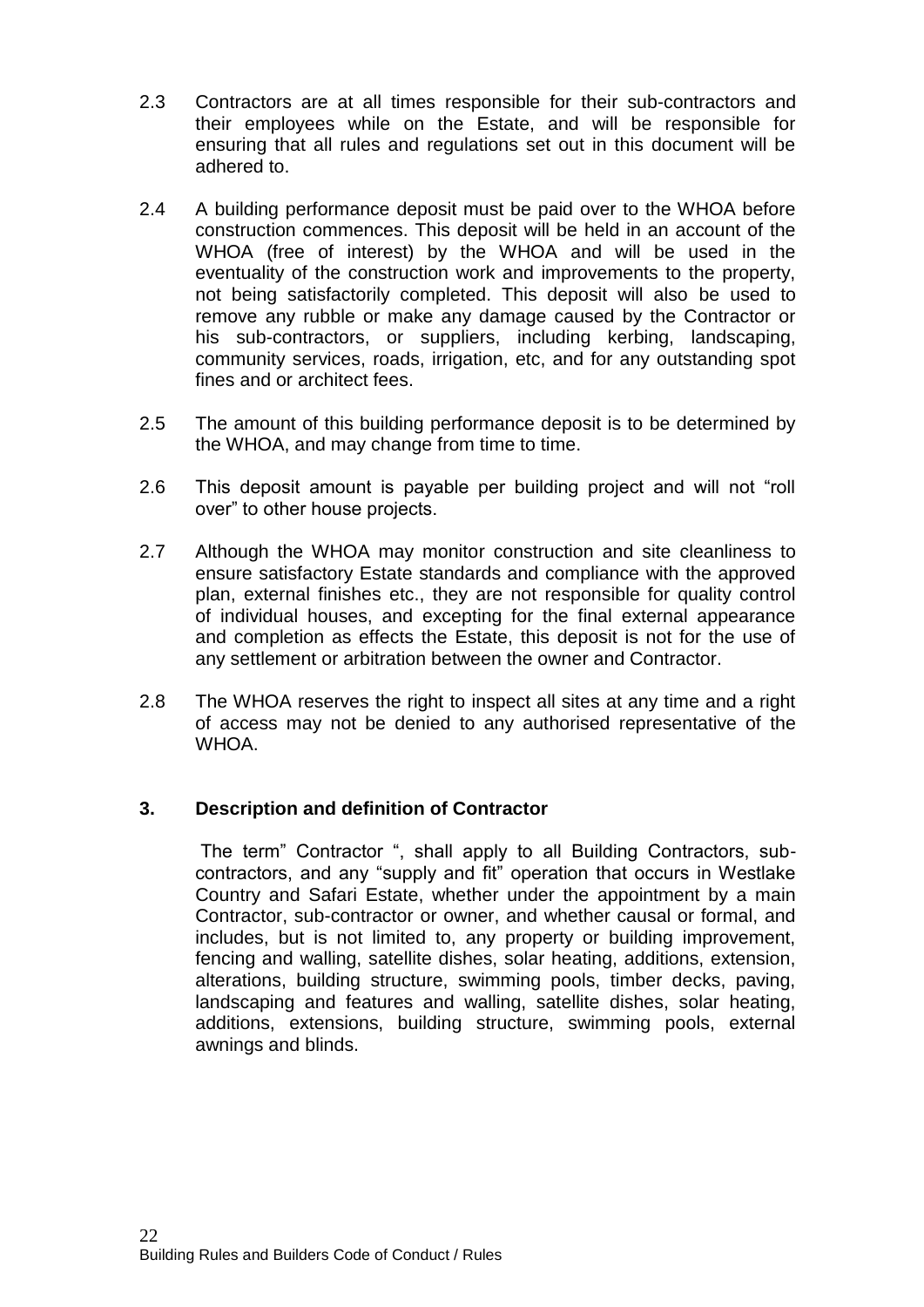- 2.3 Contractors are at all times responsible for their sub-contractors and their employees while on the Estate, and will be responsible for ensuring that all rules and regulations set out in this document will be adhered to.
- 2.4 A building performance deposit must be paid over to the WHOA before construction commences. This deposit will be held in an account of the WHOA (free of interest) by the WHOA and will be used in the eventuality of the construction work and improvements to the property, not being satisfactorily completed. This deposit will also be used to remove any rubble or make any damage caused by the Contractor or his sub-contractors, or suppliers, including kerbing, landscaping, community services, roads, irrigation, etc, and for any outstanding spot fines and or architect fees.
- 2.5 The amount of this building performance deposit is to be determined by the WHOA, and may change from time to time.
- 2.6 This deposit amount is payable per building project and will not "roll over" to other house projects.
- 2.7 Although the WHOA may monitor construction and site cleanliness to ensure satisfactory Estate standards and compliance with the approved plan, external finishes etc., they are not responsible for quality control of individual houses, and excepting for the final external appearance and completion as effects the Estate, this deposit is not for the use of any settlement or arbitration between the owner and Contractor.
- 2.8 The WHOA reserves the right to inspect all sites at any time and a right of access may not be denied to any authorised representative of the WHOA.

## **3. Description and definition of Contractor**

The term" Contractor ", shall apply to all Building Contractors, subcontractors, and any "supply and fit" operation that occurs in Westlake Country and Safari Estate, whether under the appointment by a main Contractor, sub-contractor or owner, and whether causal or formal, and includes, but is not limited to, any property or building improvement, fencing and walling, satellite dishes, solar heating, additions, extension, alterations, building structure, swimming pools, timber decks, paving, landscaping and features and walling, satellite dishes, solar heating, additions, extensions, building structure, swimming pools, external awnings and blinds.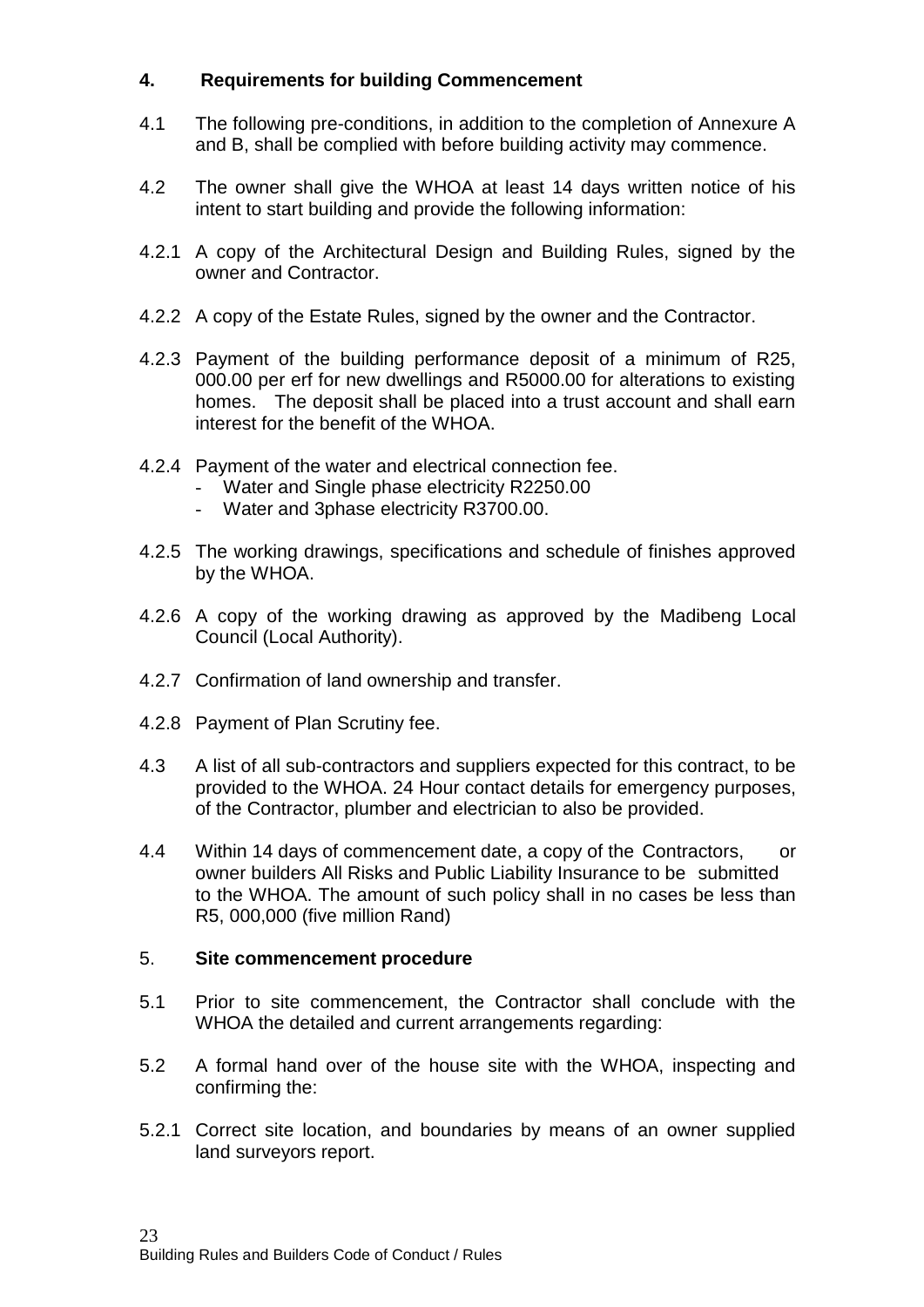## **4. Requirements for building Commencement**

- 4.1 The following pre-conditions, in addition to the completion of Annexure A and B, shall be complied with before building activity may commence.
- 4.2 The owner shall give the WHOA at least 14 days written notice of his intent to start building and provide the following information:
- 4.2.1 A copy of the Architectural Design and Building Rules, signed by the owner and Contractor.
- 4.2.2 A copy of the Estate Rules, signed by the owner and the Contractor.
- 4.2.3 Payment of the building performance deposit of a minimum of R25, 000.00 per erf for new dwellings and R5000.00 for alterations to existing homes. The deposit shall be placed into a trust account and shall earn interest for the benefit of the WHOA.
- 4.2.4 Payment of the water and electrical connection fee.
	- Water and Single phase electricity R2250.00
	- Water and 3phase electricity R3700.00.
- 4.2.5 The working drawings, specifications and schedule of finishes approved by the WHOA.
- 4.2.6 A copy of the working drawing as approved by the Madibeng Local Council (Local Authority).
- 4.2.7 Confirmation of land ownership and transfer.
- 4.2.8 Payment of Plan Scrutiny fee.
- 4.3 A list of all sub-contractors and suppliers expected for this contract, to be provided to the WHOA. 24 Hour contact details for emergency purposes, of the Contractor, plumber and electrician to also be provided.
- 4.4 Within 14 days of commencement date, a copy of the Contractors, or owner builders All Risks and Public Liability Insurance to be submitted to the WHOA. The amount of such policy shall in no cases be less than R5, 000,000 (five million Rand)

#### 5. **Site commencement procedure**

- 5.1 Prior to site commencement, the Contractor shall conclude with the WHOA the detailed and current arrangements regarding:
- 5.2 A formal hand over of the house site with the WHOA, inspecting and confirming the:
- 5.2.1 Correct site location, and boundaries by means of an owner supplied land surveyors report.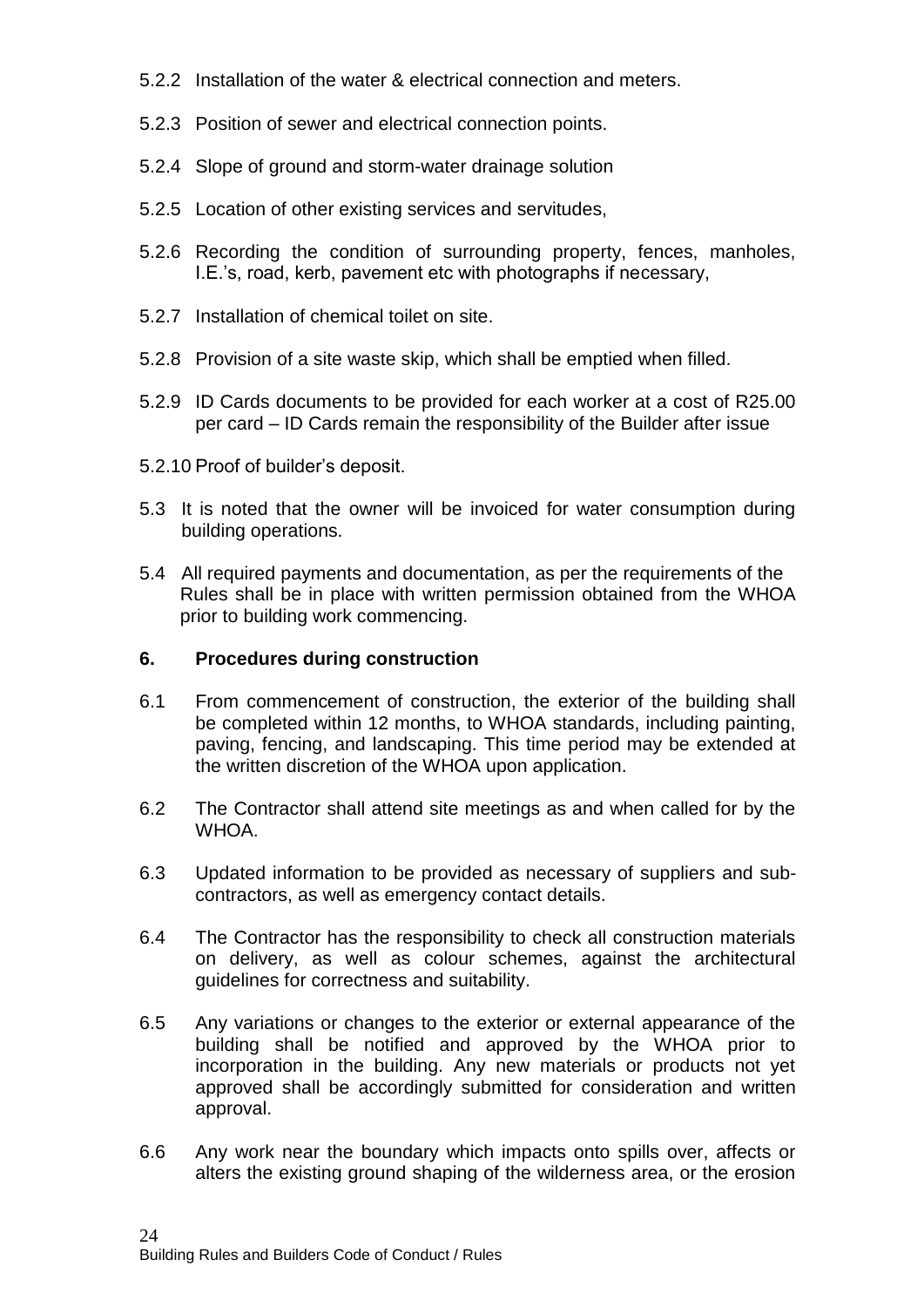- 5.2.2 Installation of the water & electrical connection and meters.
- 5.2.3 Position of sewer and electrical connection points.
- 5.2.4 Slope of ground and storm-water drainage solution
- 5.2.5 Location of other existing services and servitudes,
- 5.2.6 Recording the condition of surrounding property, fences, manholes, I.E.'s, road, kerb, pavement etc with photographs if necessary,
- 5.2.7 Installation of chemical toilet on site.
- 5.2.8 Provision of a site waste skip, which shall be emptied when filled.
- 5.2.9 ID Cards documents to be provided for each worker at a cost of R25.00 per card – ID Cards remain the responsibility of the Builder after issue
- 5.2.10 Proof of builder's deposit.
- 5.3 It is noted that the owner will be invoiced for water consumption during building operations.
- 5.4 All required payments and documentation, as per the requirements of the Rules shall be in place with written permission obtained from the WHOA prior to building work commencing.

#### **6. Procedures during construction**

- 6.1 From commencement of construction, the exterior of the building shall be completed within 12 months, to WHOA standards, including painting. paving, fencing, and landscaping. This time period may be extended at the written discretion of the WHOA upon application.
- 6.2 The Contractor shall attend site meetings as and when called for by the WHOA.
- 6.3 Updated information to be provided as necessary of suppliers and subcontractors, as well as emergency contact details.
- 6.4 The Contractor has the responsibility to check all construction materials on delivery, as well as colour schemes, against the architectural guidelines for correctness and suitability.
- 6.5 Any variations or changes to the exterior or external appearance of the building shall be notified and approved by the WHOA prior to incorporation in the building. Any new materials or products not yet approved shall be accordingly submitted for consideration and written approval.
- 6.6 Any work near the boundary which impacts onto spills over, affects or alters the existing ground shaping of the wilderness area, or the erosion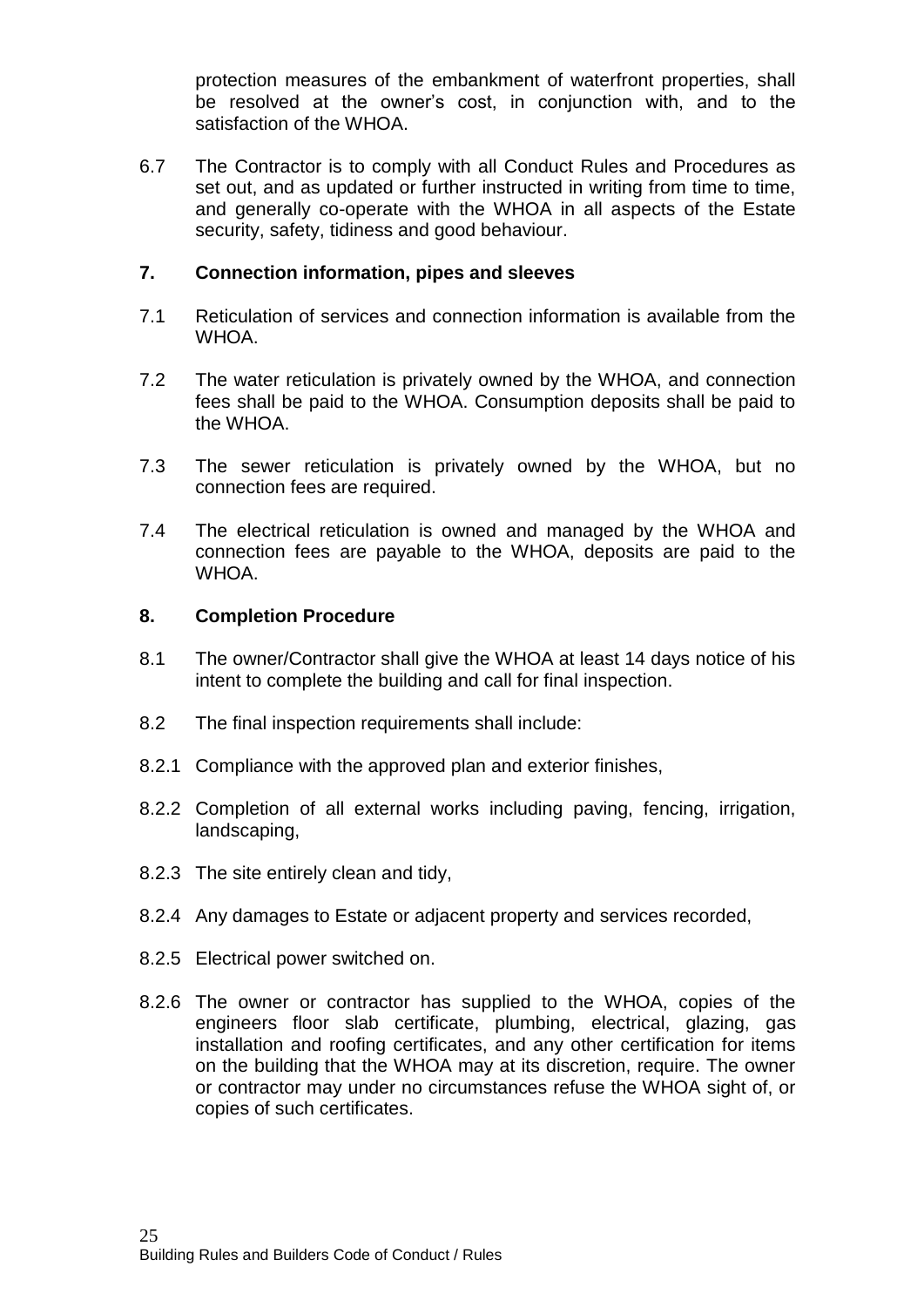protection measures of the embankment of waterfront properties, shall be resolved at the owner's cost, in conjunction with, and to the satisfaction of the WHOA.

6.7 The Contractor is to comply with all Conduct Rules and Procedures as set out, and as updated or further instructed in writing from time to time, and generally co-operate with the WHOA in all aspects of the Estate security, safety, tidiness and good behaviour.

#### **7. Connection information, pipes and sleeves**

- 7.1 Reticulation of services and connection information is available from the WHOA.
- 7.2 The water reticulation is privately owned by the WHOA, and connection fees shall be paid to the WHOA. Consumption deposits shall be paid to the WHOA.
- 7.3 The sewer reticulation is privately owned by the WHOA, but no connection fees are required.
- 7.4 The electrical reticulation is owned and managed by the WHOA and connection fees are payable to the WHOA, deposits are paid to the WHOA.

#### **8. Completion Procedure**

- 8.1 The owner/Contractor shall give the WHOA at least 14 days notice of his intent to complete the building and call for final inspection.
- 8.2 The final inspection requirements shall include:
- 8.2.1 Compliance with the approved plan and exterior finishes,
- 8.2.2 Completion of all external works including paving, fencing, irrigation, landscaping,
- 8.2.3 The site entirely clean and tidy,
- 8.2.4 Any damages to Estate or adjacent property and services recorded,
- 8.2.5 Electrical power switched on.
- 8.2.6 The owner or contractor has supplied to the WHOA, copies of the engineers floor slab certificate, plumbing, electrical, glazing, gas installation and roofing certificates, and any other certification for items on the building that the WHOA may at its discretion, require. The owner or contractor may under no circumstances refuse the WHOA sight of, or copies of such certificates.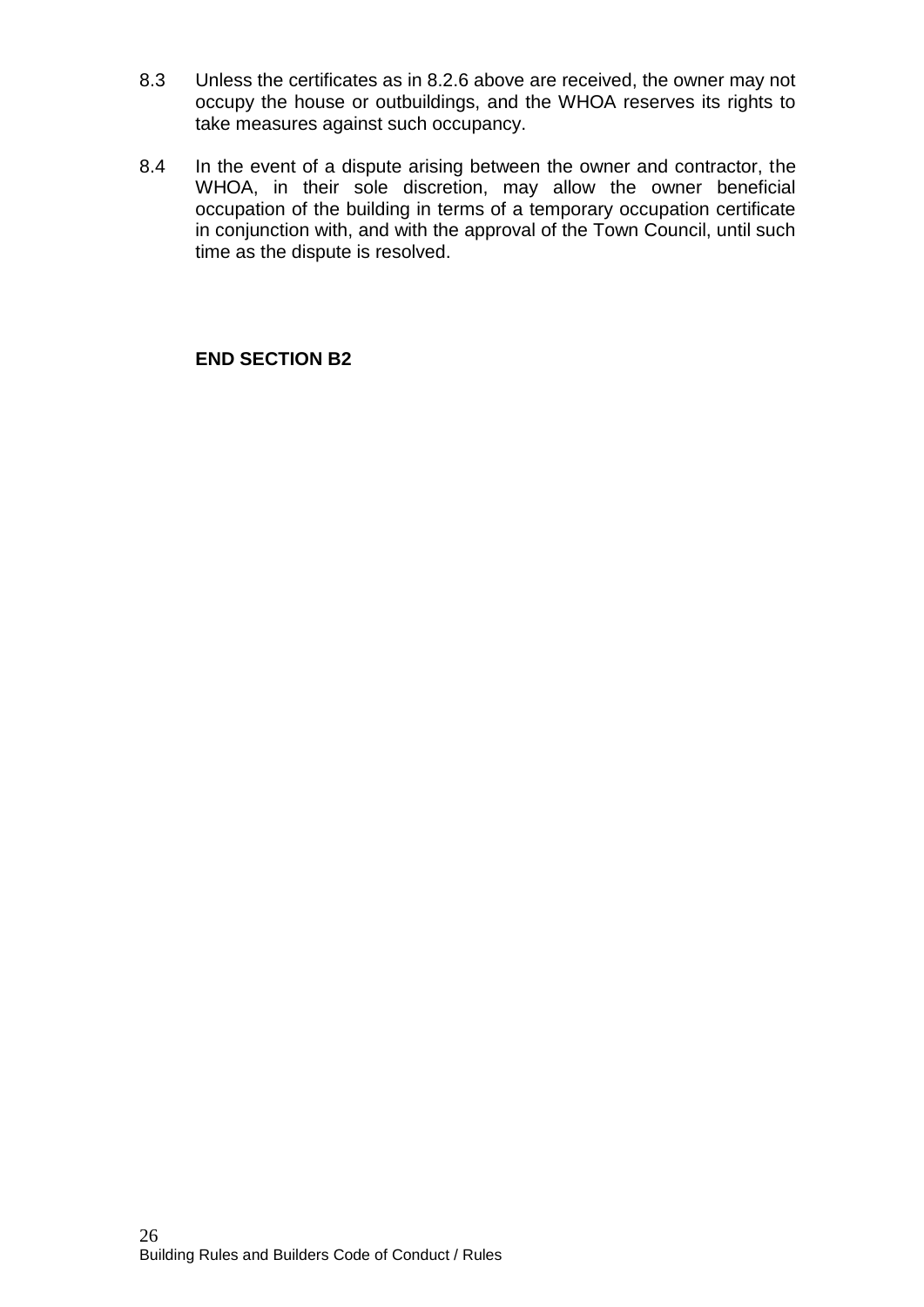- 8.3 Unless the certificates as in 8.2.6 above are received, the owner may not occupy the house or outbuildings, and the WHOA reserves its rights to take measures against such occupancy.
- 8.4 In the event of a dispute arising between the owner and contractor, the WHOA, in their sole discretion, may allow the owner beneficial occupation of the building in terms of a temporary occupation certificate in conjunction with, and with the approval of the Town Council, until such time as the dispute is resolved.

**END SECTION B2**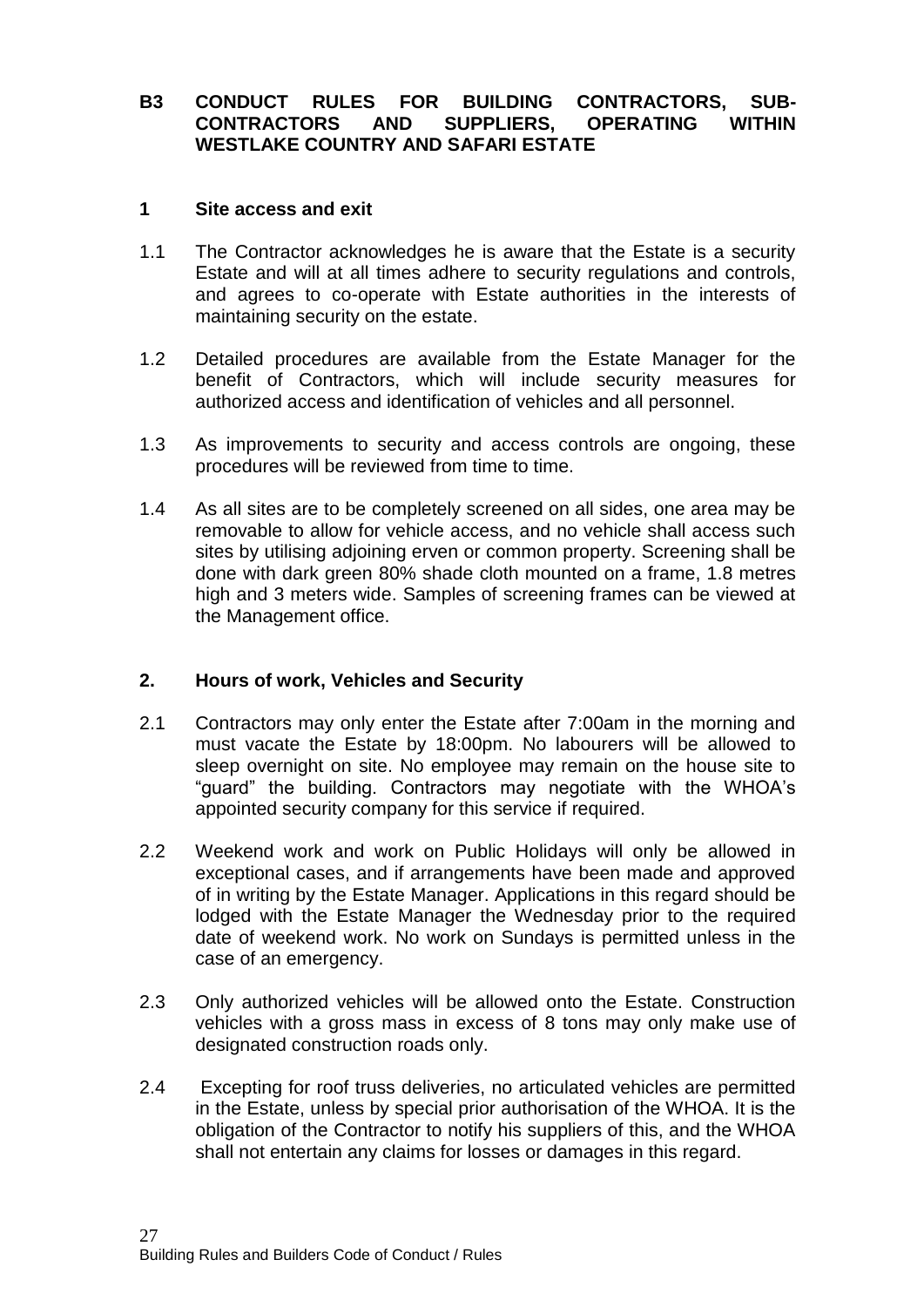## **B3 CONDUCT RULES FOR BUILDING CONTRACTORS, SUB-CONTRACTORS AND SUPPLIERS, OPERATING WITHIN WESTLAKE COUNTRY AND SAFARI ESTATE**

#### **1 Site access and exit**

- 1.1 The Contractor acknowledges he is aware that the Estate is a security Estate and will at all times adhere to security regulations and controls, and agrees to co-operate with Estate authorities in the interests of maintaining security on the estate.
- 1.2 Detailed procedures are available from the Estate Manager for the benefit of Contractors, which will include security measures for authorized access and identification of vehicles and all personnel.
- 1.3 As improvements to security and access controls are ongoing, these procedures will be reviewed from time to time.
- 1.4 As all sites are to be completely screened on all sides, one area may be removable to allow for vehicle access, and no vehicle shall access such sites by utilising adjoining erven or common property. Screening shall be done with dark green 80% shade cloth mounted on a frame, 1.8 metres high and 3 meters wide. Samples of screening frames can be viewed at the Management office.

#### **2. Hours of work, Vehicles and Security**

- 2.1 Contractors may only enter the Estate after 7:00am in the morning and must vacate the Estate by 18:00pm. No labourers will be allowed to sleep overnight on site. No employee may remain on the house site to "guard" the building. Contractors may negotiate with the WHOA's appointed security company for this service if required.
- 2.2 Weekend work and work on Public Holidays will only be allowed in exceptional cases, and if arrangements have been made and approved of in writing by the Estate Manager. Applications in this regard should be lodged with the Estate Manager the Wednesday prior to the required date of weekend work. No work on Sundays is permitted unless in the case of an emergency.
- 2.3 Only authorized vehicles will be allowed onto the Estate. Construction vehicles with a gross mass in excess of 8 tons may only make use of designated construction roads only.
- 2.4 Excepting for roof truss deliveries, no articulated vehicles are permitted in the Estate, unless by special prior authorisation of the WHOA. It is the obligation of the Contractor to notify his suppliers of this, and the WHOA shall not entertain any claims for losses or damages in this regard.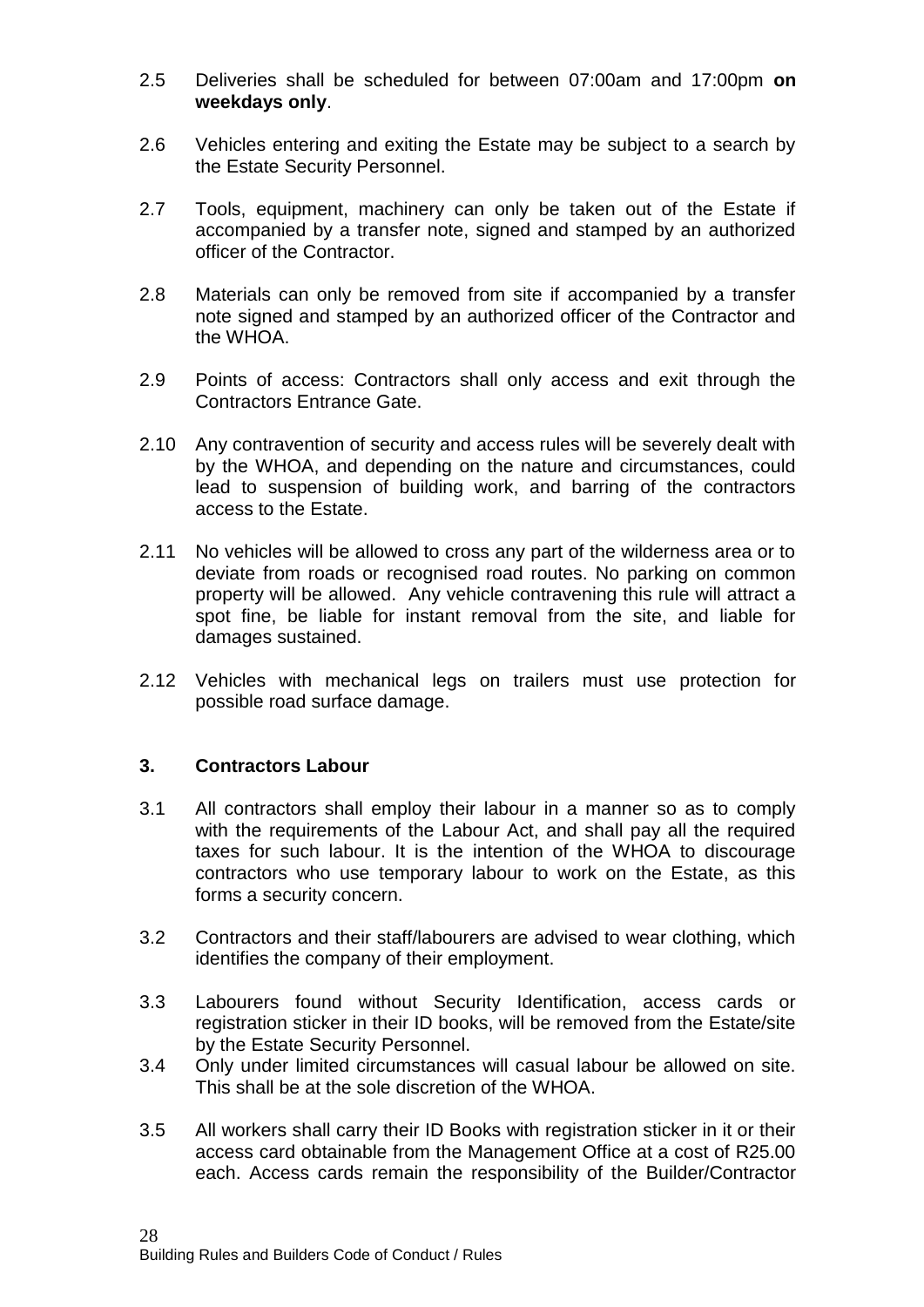- 2.5 Deliveries shall be scheduled for between 07:00am and 17:00pm **on weekdays only**.
- 2.6 Vehicles entering and exiting the Estate may be subject to a search by the Estate Security Personnel.
- 2.7 Tools, equipment, machinery can only be taken out of the Estate if accompanied by a transfer note, signed and stamped by an authorized officer of the Contractor.
- 2.8 Materials can only be removed from site if accompanied by a transfer note signed and stamped by an authorized officer of the Contractor and the WHOA.
- 2.9 Points of access: Contractors shall only access and exit through the Contractors Entrance Gate.
- 2.10 Any contravention of security and access rules will be severely dealt with by the WHOA, and depending on the nature and circumstances, could lead to suspension of building work, and barring of the contractors access to the Estate.
- 2.11 No vehicles will be allowed to cross any part of the wilderness area or to deviate from roads or recognised road routes. No parking on common property will be allowed. Any vehicle contravening this rule will attract a spot fine, be liable for instant removal from the site, and liable for damages sustained.
- 2.12 Vehicles with mechanical legs on trailers must use protection for possible road surface damage.

#### **3. Contractors Labour**

- 3.1 All contractors shall employ their labour in a manner so as to comply with the requirements of the Labour Act, and shall pay all the required taxes for such labour. It is the intention of the WHOA to discourage contractors who use temporary labour to work on the Estate, as this forms a security concern.
- 3.2 Contractors and their staff/labourers are advised to wear clothing, which identifies the company of their employment.
- 3.3 Labourers found without Security Identification, access cards or registration sticker in their ID books, will be removed from the Estate/site by the Estate Security Personnel.
- 3.4 Only under limited circumstances will casual labour be allowed on site. This shall be at the sole discretion of the WHOA.
- 3.5 All workers shall carry their ID Books with registration sticker in it or their access card obtainable from the Management Office at a cost of R25.00 each. Access cards remain the responsibility of the Builder/Contractor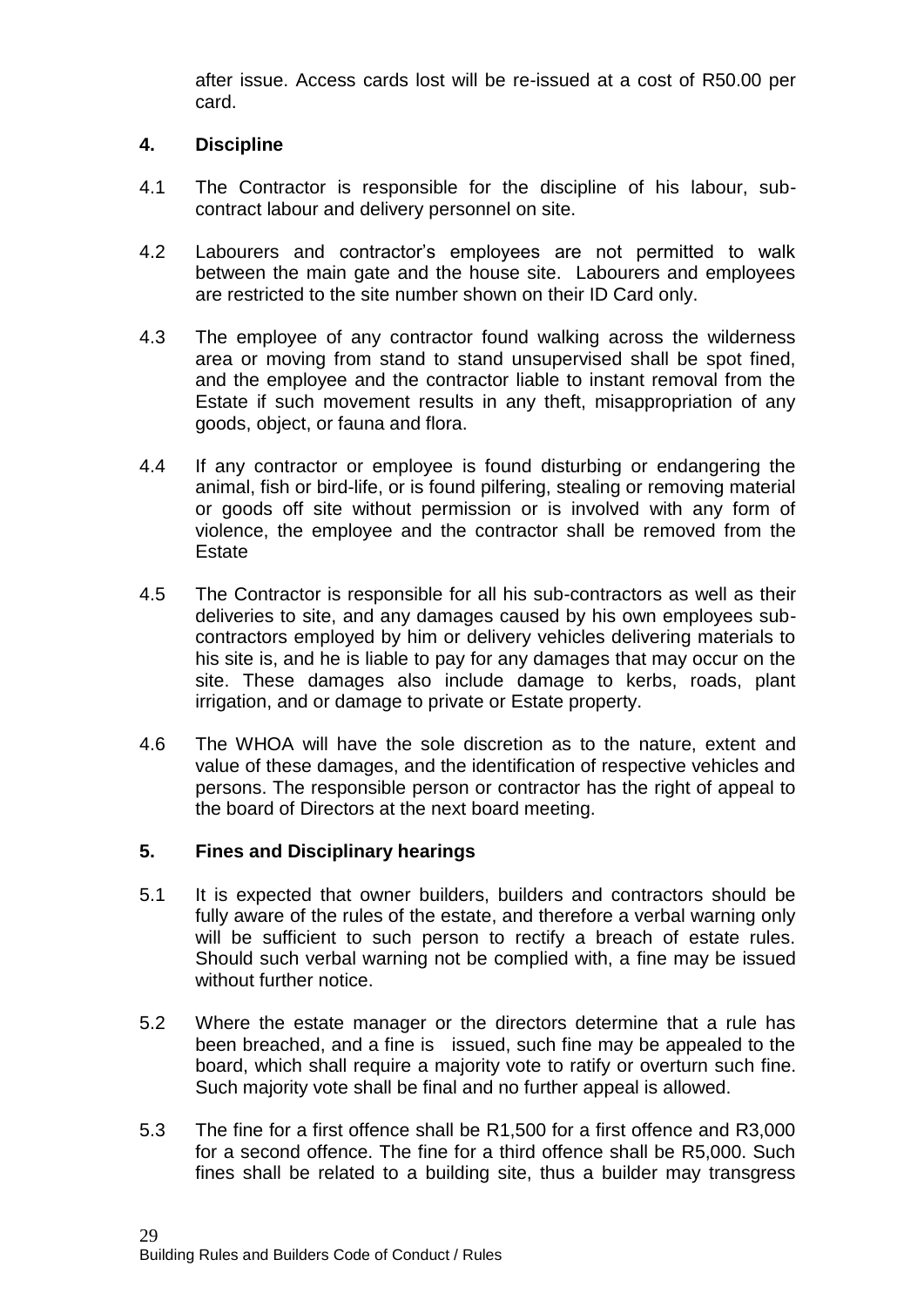after issue. Access cards lost will be re-issued at a cost of R50.00 per card.

## **4. Discipline**

- 4.1 The Contractor is responsible for the discipline of his labour, subcontract labour and delivery personnel on site.
- 4.2 Labourers and contractor's employees are not permitted to walk between the main gate and the house site. Labourers and employees are restricted to the site number shown on their ID Card only.
- 4.3 The employee of any contractor found walking across the wilderness area or moving from stand to stand unsupervised shall be spot fined, and the employee and the contractor liable to instant removal from the Estate if such movement results in any theft, misappropriation of any goods, object, or fauna and flora.
- 4.4 If any contractor or employee is found disturbing or endangering the animal, fish or bird-life, or is found pilfering, stealing or removing material or goods off site without permission or is involved with any form of violence, the employee and the contractor shall be removed from the **Estate**
- 4.5 The Contractor is responsible for all his sub-contractors as well as their deliveries to site, and any damages caused by his own employees subcontractors employed by him or delivery vehicles delivering materials to his site is, and he is liable to pay for any damages that may occur on the site. These damages also include damage to kerbs, roads, plant irrigation, and or damage to private or Estate property.
- 4.6 The WHOA will have the sole discretion as to the nature, extent and value of these damages, and the identification of respective vehicles and persons. The responsible person or contractor has the right of appeal to the board of Directors at the next board meeting.

## **5. Fines and Disciplinary hearings**

- 5.1 It is expected that owner builders, builders and contractors should be fully aware of the rules of the estate, and therefore a verbal warning only will be sufficient to such person to rectify a breach of estate rules. Should such verbal warning not be complied with, a fine may be issued without further notice.
- 5.2 Where the estate manager or the directors determine that a rule has been breached, and a fine is issued, such fine may be appealed to the board, which shall require a majority vote to ratify or overturn such fine. Such majority vote shall be final and no further appeal is allowed.
- 5.3 The fine for a first offence shall be R1,500 for a first offence and R3,000 for a second offence. The fine for a third offence shall be R5,000. Such fines shall be related to a building site, thus a builder may transgress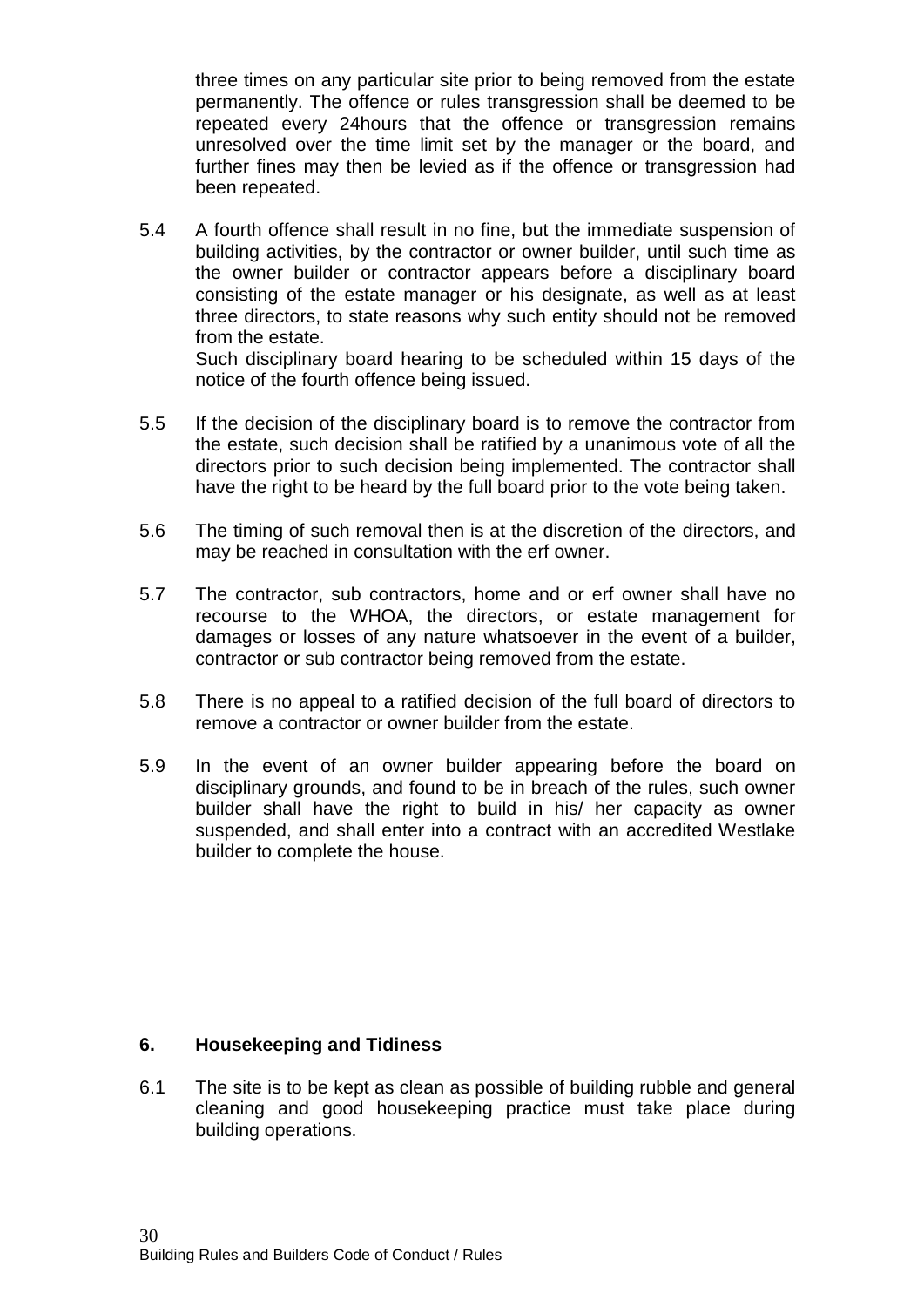three times on any particular site prior to being removed from the estate permanently. The offence or rules transgression shall be deemed to be repeated every 24hours that the offence or transgression remains unresolved over the time limit set by the manager or the board, and further fines may then be levied as if the offence or transgression had been repeated.

5.4 A fourth offence shall result in no fine, but the immediate suspension of building activities, by the contractor or owner builder, until such time as the owner builder or contractor appears before a disciplinary board consisting of the estate manager or his designate, as well as at least three directors, to state reasons why such entity should not be removed from the estate.

Such disciplinary board hearing to be scheduled within 15 days of the notice of the fourth offence being issued.

- 5.5 If the decision of the disciplinary board is to remove the contractor from the estate, such decision shall be ratified by a unanimous vote of all the directors prior to such decision being implemented. The contractor shall have the right to be heard by the full board prior to the vote being taken.
- 5.6 The timing of such removal then is at the discretion of the directors, and may be reached in consultation with the erf owner.
- 5.7 The contractor, sub contractors, home and or erf owner shall have no recourse to the WHOA, the directors, or estate management for damages or losses of any nature whatsoever in the event of a builder, contractor or sub contractor being removed from the estate.
- 5.8 There is no appeal to a ratified decision of the full board of directors to remove a contractor or owner builder from the estate.
- 5.9 In the event of an owner builder appearing before the board on disciplinary grounds, and found to be in breach of the rules, such owner builder shall have the right to build in his/ her capacity as owner suspended, and shall enter into a contract with an accredited Westlake builder to complete the house.

#### **6. Housekeeping and Tidiness**

6.1 The site is to be kept as clean as possible of building rubble and general cleaning and good housekeeping practice must take place during building operations.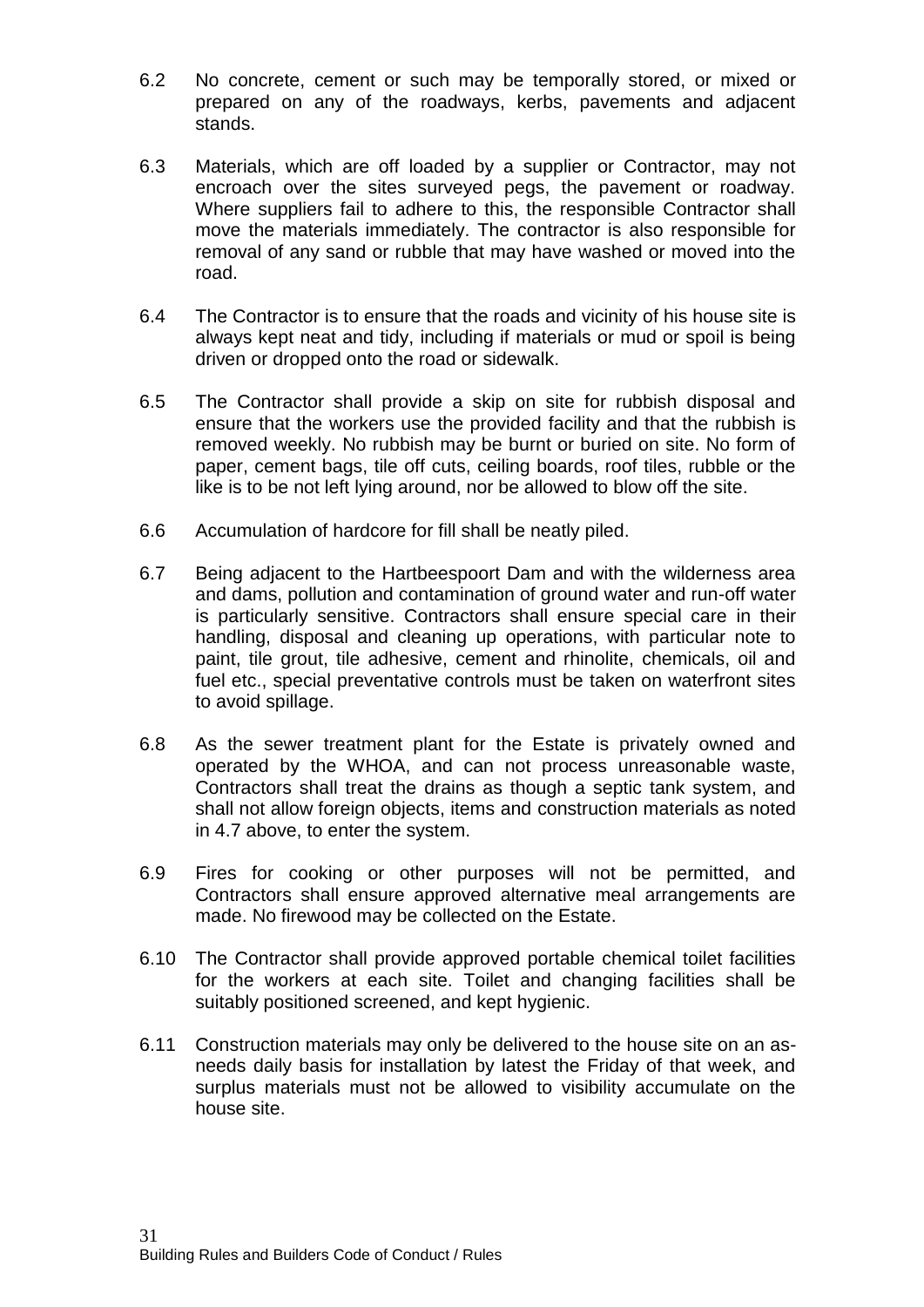- 6.2 No concrete, cement or such may be temporally stored, or mixed or prepared on any of the roadways, kerbs, pavements and adjacent stands.
- 6.3 Materials, which are off loaded by a supplier or Contractor, may not encroach over the sites surveyed pegs, the pavement or roadway. Where suppliers fail to adhere to this, the responsible Contractor shall move the materials immediately. The contractor is also responsible for removal of any sand or rubble that may have washed or moved into the road.
- 6.4 The Contractor is to ensure that the roads and vicinity of his house site is always kept neat and tidy, including if materials or mud or spoil is being driven or dropped onto the road or sidewalk.
- 6.5 The Contractor shall provide a skip on site for rubbish disposal and ensure that the workers use the provided facility and that the rubbish is removed weekly. No rubbish may be burnt or buried on site. No form of paper, cement bags, tile off cuts, ceiling boards, roof tiles, rubble or the like is to be not left lying around, nor be allowed to blow off the site.
- 6.6 Accumulation of hardcore for fill shall be neatly piled.
- 6.7 Being adjacent to the Hartbeespoort Dam and with the wilderness area and dams, pollution and contamination of ground water and run-off water is particularly sensitive. Contractors shall ensure special care in their handling, disposal and cleaning up operations, with particular note to paint, tile grout, tile adhesive, cement and rhinolite, chemicals, oil and fuel etc., special preventative controls must be taken on waterfront sites to avoid spillage.
- 6.8 As the sewer treatment plant for the Estate is privately owned and operated by the WHOA, and can not process unreasonable waste, Contractors shall treat the drains as though a septic tank system, and shall not allow foreign objects, items and construction materials as noted in 4.7 above, to enter the system.
- 6.9 Fires for cooking or other purposes will not be permitted, and Contractors shall ensure approved alternative meal arrangements are made. No firewood may be collected on the Estate.
- 6.10 The Contractor shall provide approved portable chemical toilet facilities for the workers at each site. Toilet and changing facilities shall be suitably positioned screened, and kept hygienic.
- 6.11 Construction materials may only be delivered to the house site on an asneeds daily basis for installation by latest the Friday of that week, and surplus materials must not be allowed to visibility accumulate on the house site.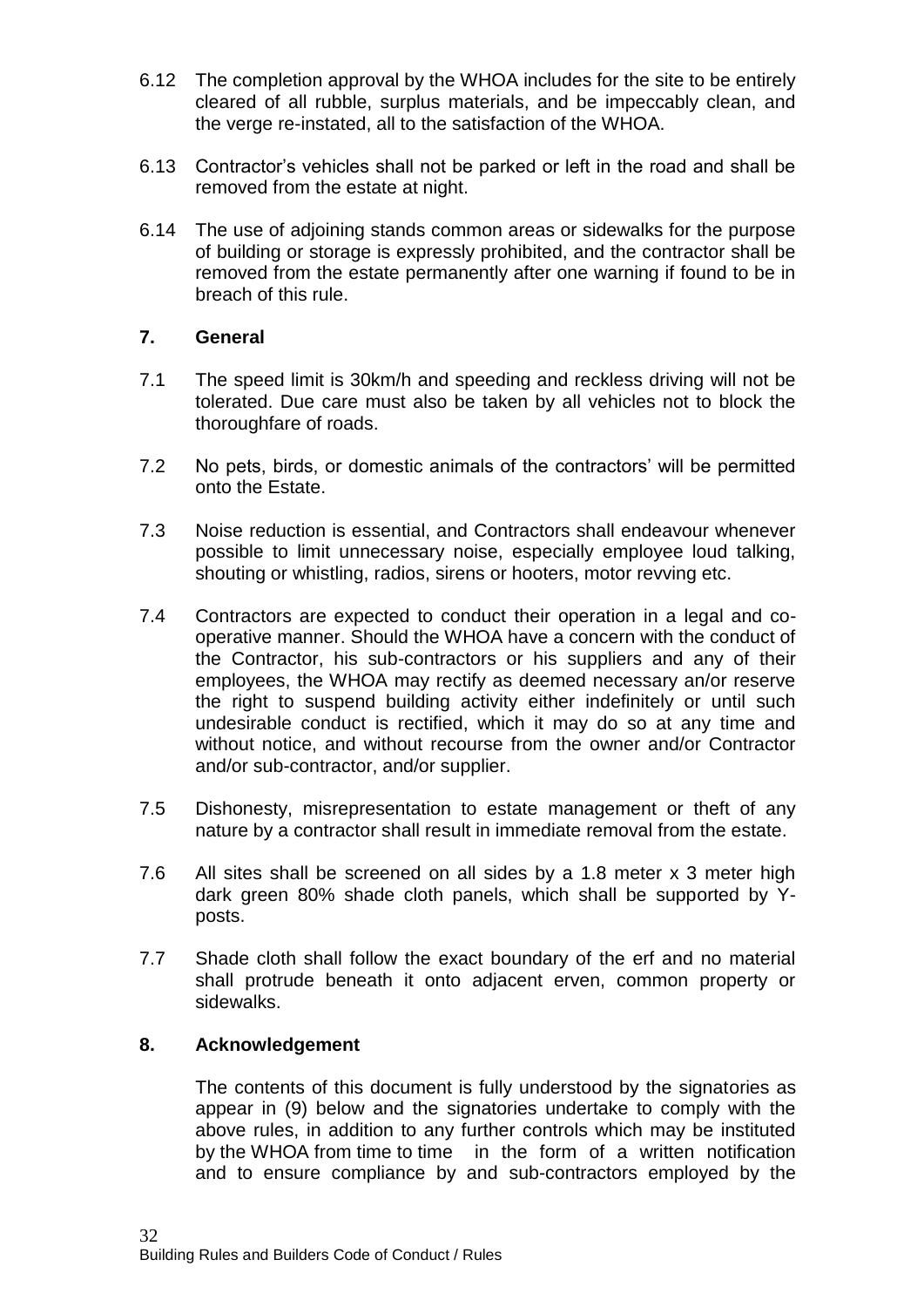- 6.12 The completion approval by the WHOA includes for the site to be entirely cleared of all rubble, surplus materials, and be impeccably clean, and the verge re-instated, all to the satisfaction of the WHOA.
- 6.13 Contractor's vehicles shall not be parked or left in the road and shall be removed from the estate at night.
- 6.14 The use of adjoining stands common areas or sidewalks for the purpose of building or storage is expressly prohibited, and the contractor shall be removed from the estate permanently after one warning if found to be in breach of this rule.

#### **7. General**

- 7.1 The speed limit is 30km/h and speeding and reckless driving will not be tolerated. Due care must also be taken by all vehicles not to block the thoroughfare of roads.
- 7.2 No pets, birds, or domestic animals of the contractors' will be permitted onto the Estate.
- 7.3 Noise reduction is essential, and Contractors shall endeavour whenever possible to limit unnecessary noise, especially employee loud talking, shouting or whistling, radios, sirens or hooters, motor revving etc.
- 7.4 Contractors are expected to conduct their operation in a legal and cooperative manner. Should the WHOA have a concern with the conduct of the Contractor, his sub-contractors or his suppliers and any of their employees, the WHOA may rectify as deemed necessary an/or reserve the right to suspend building activity either indefinitely or until such undesirable conduct is rectified, which it may do so at any time and without notice, and without recourse from the owner and/or Contractor and/or sub-contractor, and/or supplier.
- 7.5 Dishonesty, misrepresentation to estate management or theft of any nature by a contractor shall result in immediate removal from the estate.
- 7.6 All sites shall be screened on all sides by a 1.8 meter x 3 meter high dark green 80% shade cloth panels, which shall be supported by Yposts.
- 7.7 Shade cloth shall follow the exact boundary of the erf and no material shall protrude beneath it onto adjacent erven, common property or sidewalks.

#### **8. Acknowledgement**

The contents of this document is fully understood by the signatories as appear in (9) below and the signatories undertake to comply with the above rules, in addition to any further controls which may be instituted by the WHOA from time to time in the form of a written notification and to ensure compliance by and sub-contractors employed by the